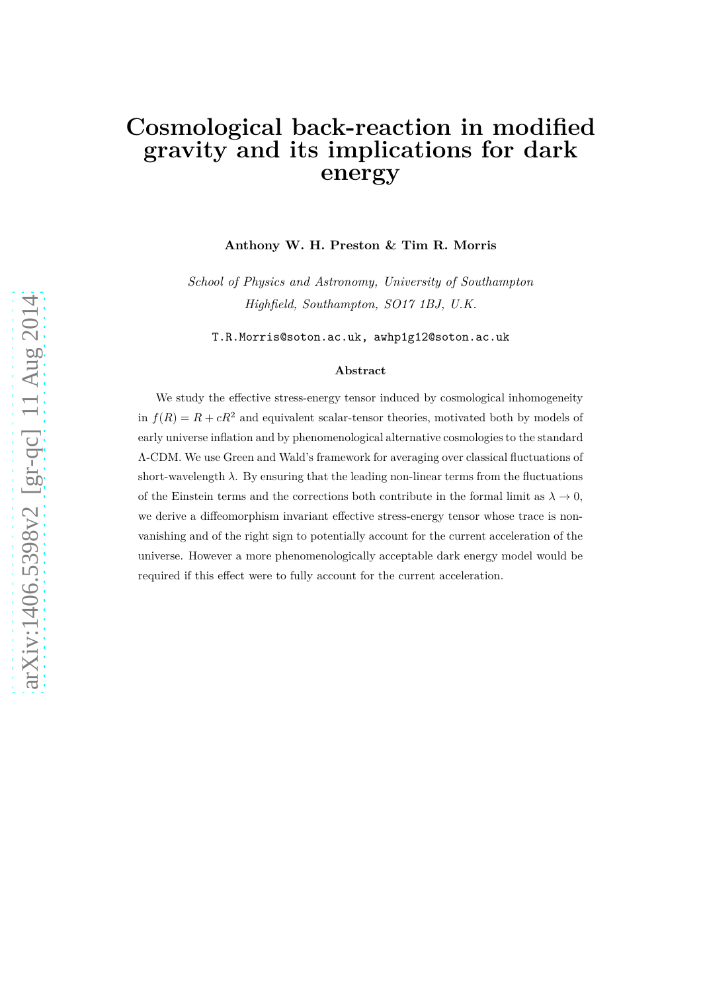# **Cosmological back-reaction in modified gravity and its implications for dark energy**

**Anthony W. H. Preston & Tim R. Morris**

*School of Physics and Astronomy, University of Southampton Highfield, Southampton, SO17 1BJ, U.K.*

T.R.Morris@soton.ac.uk, awhp1g12@soton.ac.uk

#### **Abstract**

We study the effective stress-energy tensor induced by cosmological inhomogeneity in  $f(R) = R + cR^2$  and equivalent scalar-tensor theories, motivated both by models of early universe inflation and by phenomenological alternative cosmologies to the standard Λ-CDM. We use Green and Wald's framework for averaging over classical fluctuations of short-wavelength  $\lambda$ . By ensuring that the leading non-linear terms from the fluctuations of the Einstein terms and the corrections both contribute in the formal limit as  $\lambda \to 0$ , we derive a diffeomorphism invariant effective stress-energy tensor whose trace is nonvanishing and of the right sign to potentially account for the current acceleration of the universe. However a more phenomenologically acceptable dark energy model would be required if this effect were to fully account for the current acceleration.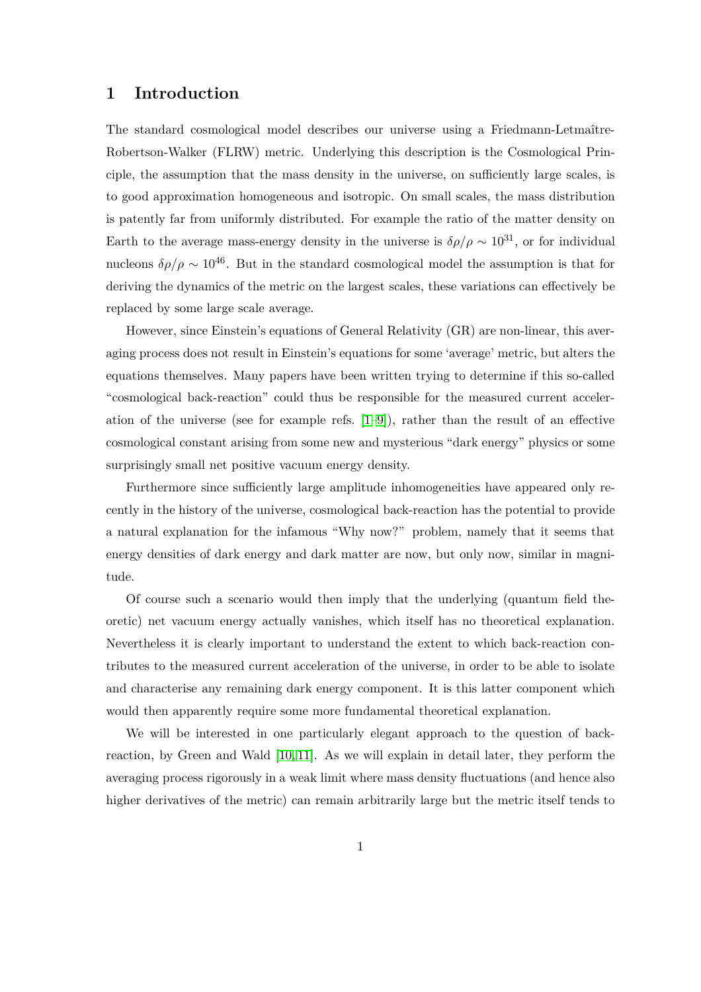#### **1 Introduction**

The standard cosmological model describes our universe using a Friedmann-Letmaître-Robertson-Walker (FLRW) metric. Underlying this description is the Cosmological Principle, the assumption that the mass density in the universe, on sufficiently large scales, is to good approximation homogeneous and isotropic. On small scales, the mass distribution is patently far from uniformly distributed. For example the ratio of the matter density on Earth to the average mass-energy density in the universe is  $\delta \rho / \rho \sim 10^{31}$ , or for individual nucleons  $\delta \rho / \rho \sim 10^{46}$ . But in the standard cosmological model the assumption is that for deriving the dynamics of the metric on the largest scales, these variations can effectively be replaced by some large scale average.

However, since Einstein's equations of General Relativity (GR) are non-linear, this averaging process does not result in Einstein's equations for some 'average' metric, but alters the equations themselves. Many papers have been written trying to determine if this so-called "cosmological back-reaction" could thus be responsible for the measured current acceleration of the universe (see for example refs. [\[1](#page-19-0)[–9\]](#page-20-0)), rather than the result of an effective cosmological constant arising from some new and mysterious "dark energy" physics or some surprisingly small net positive vacuum energy density.

Furthermore since sufficiently large amplitude inhomogeneities have appeared only recently in the history of the universe, cosmological back-reaction has the potential to provide a natural explanation for the infamous "Why now?" problem, namely that it seems that energy densities of dark energy and dark matter are now, but only now, similar in magnitude.

Of course such a scenario would then imply that the underlying (quantum field theoretic) net vacuum energy actually vanishes, which itself has no theoretical explanation. Nevertheless it is clearly important to understand the extent to which back-reaction contributes to the measured current acceleration of the universe, in order to be able to isolate and characterise any remaining dark energy component. It is this latter component which would then apparently require some more fundamental theoretical explanation.

We will be interested in one particularly elegant approach to the question of backreaction, by Green and Wald [\[10,](#page-20-1) [11\]](#page-20-2). As we will explain in detail later, they perform the averaging process rigorously in a weak limit where mass density fluctuations (and hence also higher derivatives of the metric) can remain arbitrarily large but the metric itself tends to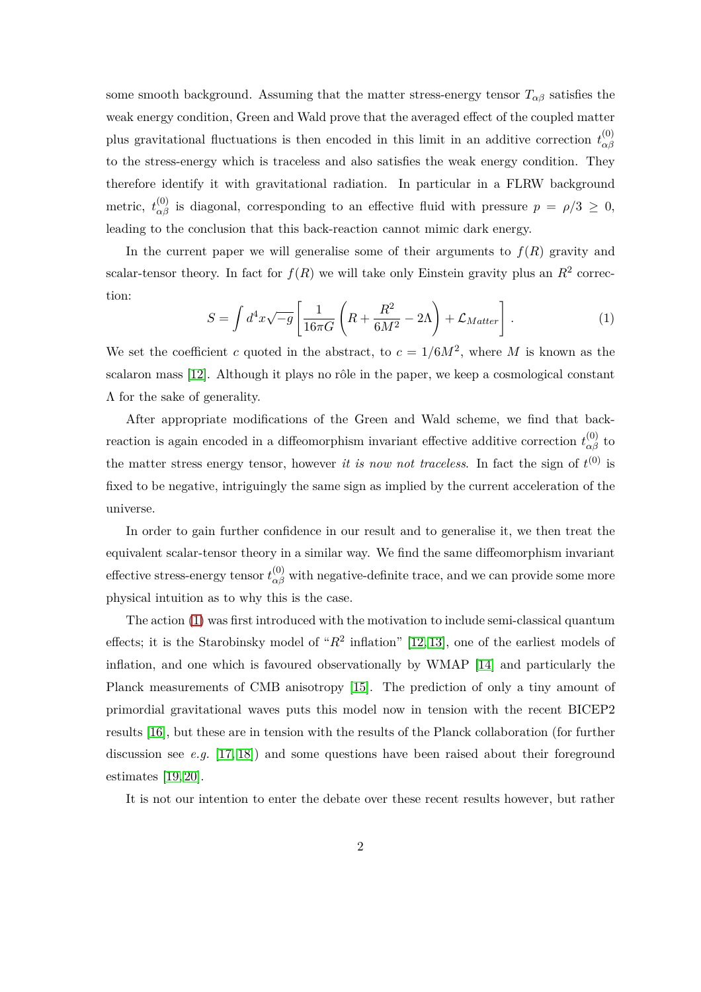some smooth background. Assuming that the matter stress-energy tensor  $T_{\alpha\beta}$  satisfies the weak energy condition, Green and Wald prove that the averaged effect of the coupled matter plus gravitational fluctuations is then encoded in this limit in an additive correction  $t_{\alpha\beta}^{(0)}$ *αβ* to the stress-energy which is traceless and also satisfies the weak energy condition. They therefore identify it with gravitational radiation. In particular in a FLRW background metric,  $t_{\alpha\beta}^{(0)}$  is diagonal, corresponding to an effective fluid with pressure  $p = \rho/3 \ge 0$ , leading to the conclusion that this back-reaction cannot mimic dark energy.

<span id="page-2-0"></span>In the current paper we will generalise some of their arguments to  $f(R)$  gravity and scalar-tensor theory. In fact for  $f(R)$  we will take only Einstein gravity plus an  $R^2$  correction:

$$
S = \int d^4x \sqrt{-g} \left[ \frac{1}{16\pi G} \left( R + \frac{R^2}{6M^2} - 2\Lambda \right) + \mathcal{L}_{Matter} \right]. \tag{1}
$$

We set the coefficient *c* quoted in the abstract, to  $c = 1/6M^2$ , where M is known as the scalaron mass  $[12]$ . Although it plays no rôle in the paper, we keep a cosmological constant Λ for the sake of generality.

After appropriate modifications of the Green and Wald scheme, we find that backreaction is again encoded in a diffeomorphism invariant effective additive correction  $t_{\alpha\beta}^{(0)}$  to the matter stress energy tensor, however *it is now not traceless*. In fact the sign of  $t^{(0)}$  is fixed to be negative, intriguingly the same sign as implied by the current acceleration of the universe.

In order to gain further confidence in our result and to generalise it, we then treat the equivalent scalar-tensor theory in a similar way. We find the same diffeomorphism invariant effective stress-energy tensor  $t^{(0)}_{\alpha\beta}$  with negative-definite trace, and we can provide some more physical intuition as to why this is the case.

The action [\(1\)](#page-2-0) was first introduced with the motivation to include semi-classical quantum effects; it is the Starobinsky model of " $R^2$  inflation" [\[12,](#page-20-3) [13\]](#page-20-4), one of the earliest models of inflation, and one which is favoured observationally by WMAP [\[14\]](#page-20-5) and particularly the Planck measurements of CMB anisotropy [\[15\]](#page-20-6). The prediction of only a tiny amount of primordial gravitational waves puts this model now in tension with the recent BICEP2 results [\[16\]](#page-20-7), but these are in tension with the results of the Planck collaboration (for further discussion see *e.g.* [\[17,](#page-20-8) [18\]](#page-20-9)) and some questions have been raised about their foreground estimates [\[19,](#page-20-10) [20\]](#page-20-11).

It is not our intention to enter the debate over these recent results however, but rather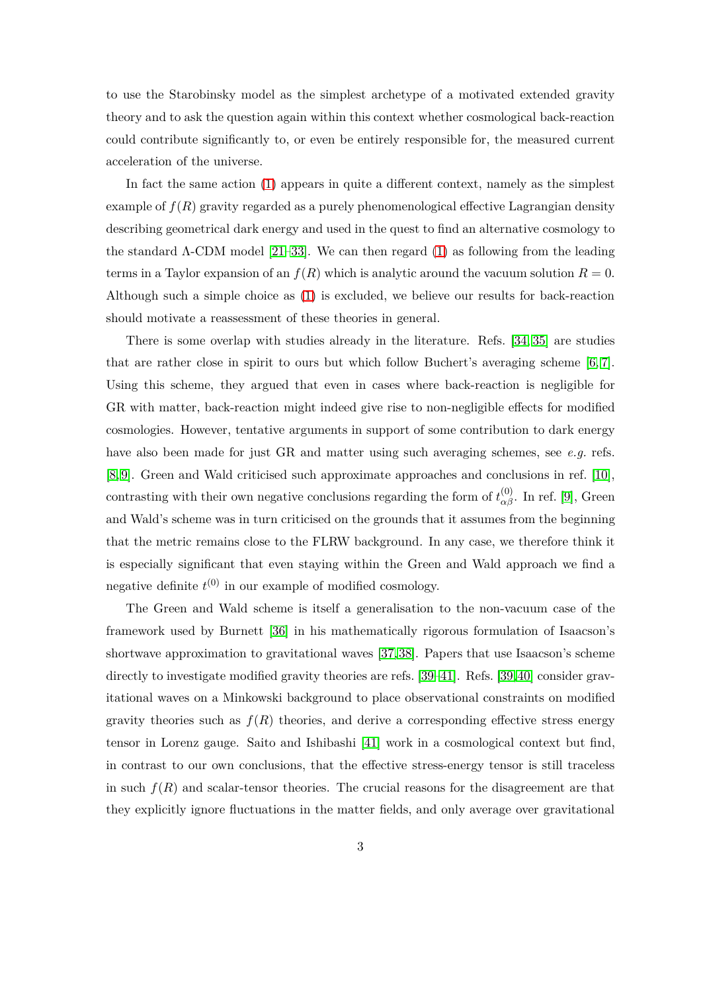to use the Starobinsky model as the simplest archetype of a motivated extended gravity theory and to ask the question again within this context whether cosmological back-reaction could contribute significantly to, or even be entirely responsible for, the measured current acceleration of the universe.

In fact the same action [\(1\)](#page-2-0) appears in quite a different context, namely as the simplest example of  $f(R)$  gravity regarded as a purely phenomenological effective Lagrangian density describing geometrical dark energy and used in the quest to find an alternative cosmology to the standard  $\Lambda$ -CDM model [\[21–](#page-21-0)[33\]](#page-21-1). We can then regard [\(1\)](#page-2-0) as following from the leading terms in a Taylor expansion of an  $f(R)$  which is analytic around the vacuum solution  $R = 0$ . Although such a simple choice as [\(1\)](#page-2-0) is excluded, we believe our results for back-reaction should motivate a reassessment of these theories in general.

There is some overlap with studies already in the literature. Refs. [\[34,](#page-21-2) [35\]](#page-21-3) are studies that are rather close in spirit to ours but which follow Buchert's averaging scheme [\[6,](#page-19-1) [7\]](#page-20-12). Using this scheme, they argued that even in cases where back-reaction is negligible for GR with matter, back-reaction might indeed give rise to non-negligible effects for modified cosmologies. However, tentative arguments in support of some contribution to dark energy have also been made for just GR and matter using such averaging schemes, see *e.g.* refs. [\[8,](#page-20-13) [9\]](#page-20-0). Green and Wald criticised such approximate approaches and conclusions in ref. [\[10\]](#page-20-1), contrasting with their own negative conclusions regarding the form of  $t^{(0)}_{\alpha\beta}$ . In ref. [\[9\]](#page-20-0), Green and Wald's scheme was in turn criticised on the grounds that it assumes from the beginning that the metric remains close to the FLRW background. In any case, we therefore think it is especially significant that even staying within the Green and Wald approach we find a negative definite  $t^{(0)}$  in our example of modified cosmology.

The Green and Wald scheme is itself a generalisation to the non-vacuum case of the framework used by Burnett [\[36\]](#page-22-0) in his mathematically rigorous formulation of Isaacson's shortwave approximation to gravitational waves [\[37,](#page-22-1)[38\]](#page-22-2). Papers that use Isaacson's scheme directly to investigate modified gravity theories are refs. [\[39](#page-22-3)-41]. Refs. [\[39,](#page-22-3)[40\]](#page-22-5) consider gravitational waves on a Minkowski background to place observational constraints on modified gravity theories such as  $f(R)$  theories, and derive a corresponding effective stress energy tensor in Lorenz gauge. Saito and Ishibashi [\[41\]](#page-22-4) work in a cosmological context but find, in contrast to our own conclusions, that the effective stress-energy tensor is still traceless in such  $f(R)$  and scalar-tensor theories. The crucial reasons for the disagreement are that they explicitly ignore fluctuations in the matter fields, and only average over gravitational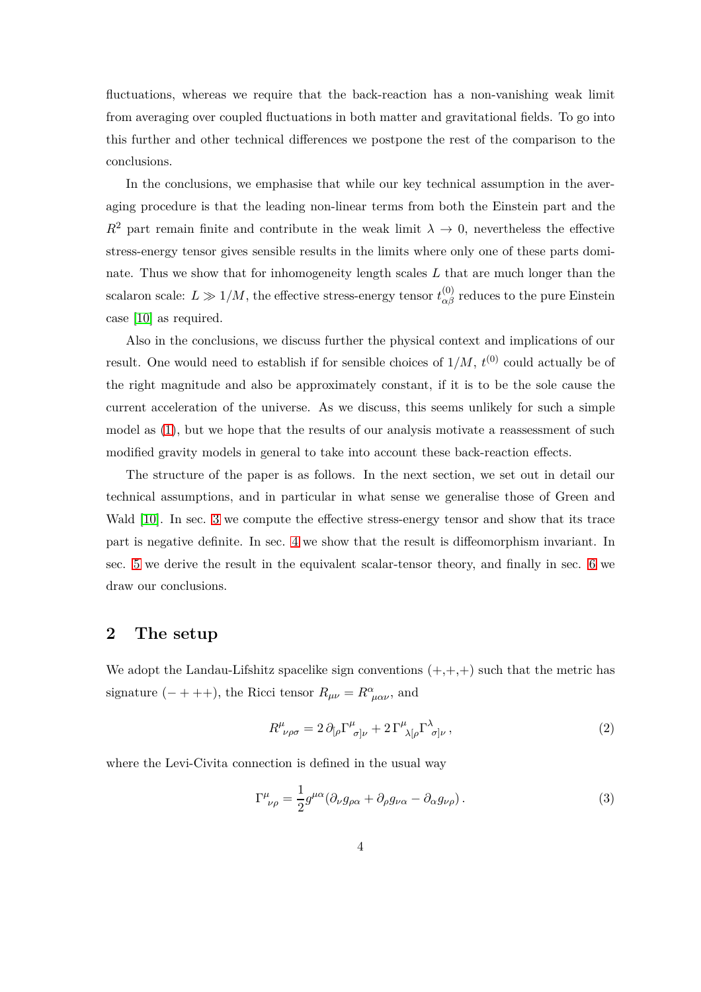fluctuations, whereas we require that the back-reaction has a non-vanishing weak limit from averaging over coupled fluctuations in both matter and gravitational fields. To go into this further and other technical differences we postpone the rest of the comparison to the conclusions.

In the conclusions, we emphasise that while our key technical assumption in the averaging procedure is that the leading non-linear terms from both the Einstein part and the  $R^2$  part remain finite and contribute in the weak limit  $\lambda \to 0$ , nevertheless the effective stress-energy tensor gives sensible results in the limits where only one of these parts dominate. Thus we show that for inhomogeneity length scales *L* that are much longer than the scalaron scale:  $L \gg 1/M$ , the effective stress-energy tensor  $t_{\alpha\beta}^{(0)}$  reduces to the pure Einstein case [\[10\]](#page-20-1) as required.

Also in the conclusions, we discuss further the physical context and implications of our result. One would need to establish if for sensible choices of  $1/M$ ,  $t^{(0)}$  could actually be of the right magnitude and also be approximately constant, if it is to be the sole cause the current acceleration of the universe. As we discuss, this seems unlikely for such a simple model as [\(1\)](#page-2-0), but we hope that the results of our analysis motivate a reassessment of such modified gravity models in general to take into account these back-reaction effects.

The structure of the paper is as follows. In the next section, we set out in detail our technical assumptions, and in particular in what sense we generalise those of Green and Wald [\[10\]](#page-20-1). In sec. [3](#page-8-0) we compute the effective stress-energy tensor and show that its trace part is negative definite. In sec. [4](#page-11-0) we show that the result is diffeomorphism invariant. In sec. [5](#page-12-0) we derive the result in the equivalent scalar-tensor theory, and finally in sec. [6](#page-15-0) we draw our conclusions.

#### **2 The setup**

We adopt the Landau-Lifshitz spacelike sign conventions  $(+,+,+)$  such that the metric has signature  $(- + + +)$ , the Ricci tensor  $R_{\mu\nu} = R^{\alpha}_{\mu\alpha\nu}$ , and

$$
R^{\mu}_{\ \nu\rho\sigma} = 2 \,\partial_{[\rho} \Gamma^{\mu}_{\ \sigma]\nu} + 2 \,\Gamma^{\mu}_{\ \lambda[\rho} \Gamma^{\lambda}_{\ \sigma]\nu} \,, \tag{2}
$$

where the Levi-Civita connection is defined in the usual way

$$
\Gamma^{\mu}_{\ \nu\rho} = \frac{1}{2} g^{\mu\alpha} (\partial_{\nu} g_{\rho\alpha} + \partial_{\rho} g_{\nu\alpha} - \partial_{\alpha} g_{\nu\rho}). \tag{3}
$$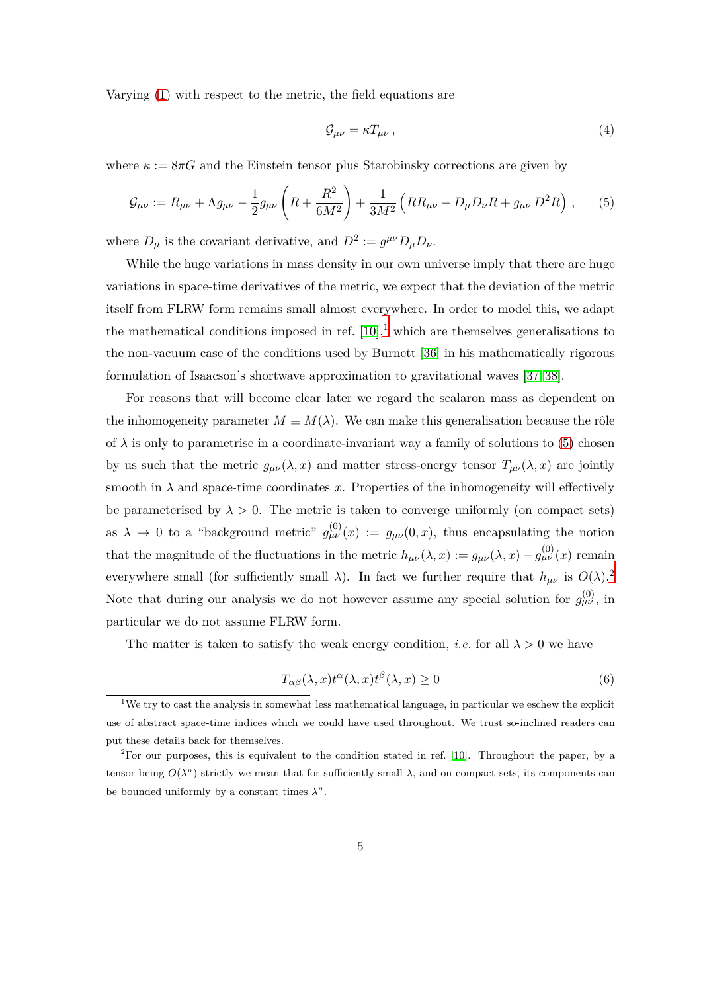Varying [\(1\)](#page-2-0) with respect to the metric, the field equations are

<span id="page-5-3"></span><span id="page-5-1"></span>
$$
\mathcal{G}_{\mu\nu} = \kappa T_{\mu\nu} \,, \tag{4}
$$

where  $\kappa := 8\pi G$  and the Einstein tensor plus Starobinsky corrections are given by

$$
\mathcal{G}_{\mu\nu} := R_{\mu\nu} + \Lambda g_{\mu\nu} - \frac{1}{2} g_{\mu\nu} \left( R + \frac{R^2}{6M^2} \right) + \frac{1}{3M^2} \left( R R_{\mu\nu} - D_{\mu} D_{\nu} R + g_{\mu\nu} D^2 R \right) ,\tag{5}
$$

where  $D_{\mu}$  is the covariant derivative, and  $D^2 := g^{\mu\nu} D_{\mu} D_{\nu}$ .

While the huge variations in mass density in our own universe imply that there are huge variations in space-time derivatives of the metric, we expect that the deviation of the metric itself from FLRW form remains small almost everywhere. In order to model this, we adapt the mathematical conditions imposed in ref.  $[10],$  $[10],$  $[10],$ <sup>1</sup> which are themselves generalisations to the non-vacuum case of the conditions used by Burnett [\[36\]](#page-22-0) in his mathematically rigorous formulation of Isaacson's shortwave approximation to gravitational waves [\[37,](#page-22-1) [38\]](#page-22-2).

For reasons that will become clear later we regard the scalaron mass as dependent on the inhomogeneity parameter  $M \equiv M(\lambda)$ . We can make this generalisation because the rôle of  $\lambda$  is only to parametrise in a coordinate-invariant way a family of solutions to [\(5\)](#page-5-1) chosen by us such that the metric  $g_{\mu\nu}(\lambda, x)$  and matter stress-energy tensor  $T_{\mu\nu}(\lambda, x)$  are jointly smooth in  $\lambda$  and space-time coordinates x. Properties of the inhomogeneity will effectively be parameterised by  $\lambda > 0$ . The metric is taken to converge uniformly (on compact sets) as  $\lambda \to 0$  to a "background metric"  $g_{\mu\nu}^{(0)}(x) := g_{\mu\nu}(0,x)$ , thus encapsulating the notion that the magnitude of the fluctuations in the metric  $h_{\mu\nu}(\lambda, x) := g_{\mu\nu}(\lambda, x) - g_{\mu\nu}^{(0)}(x)$  remain everywhere small (for sufficiently small  $\lambda$ ). In fact we further require that  $h_{\mu\nu}$  is  $O(\lambda)$ .<sup>[2](#page-5-2)</sup> Note that during our analysis we do not however assume any special solution for  $g_{\mu\nu}^{(0)}$ , in particular we do not assume FLRW form.

The matter is taken to satisfy the weak energy condition, *i.e.* for all  $\lambda > 0$  we have

<span id="page-5-4"></span>
$$
T_{\alpha\beta}(\lambda, x)t^{\alpha}(\lambda, x)t^{\beta}(\lambda, x) \ge 0
$$
\n(6)

<span id="page-5-0"></span><sup>&</sup>lt;sup>1</sup>We try to cast the analysis in somewhat less mathematical language, in particular we eschew the explicit use of abstract space-time indices which we could have used throughout. We trust so-inclined readers can put these details back for themselves.

<span id="page-5-2"></span><sup>&</sup>lt;sup>2</sup>For our purposes, this is equivalent to the condition stated in ref. [\[10\]](#page-20-1). Throughout the paper, by a tensor being  $O(\lambda^n)$  strictly we mean that for sufficiently small  $\lambda$ , and on compact sets, its components can be bounded uniformly by a constant times  $\lambda^n$ .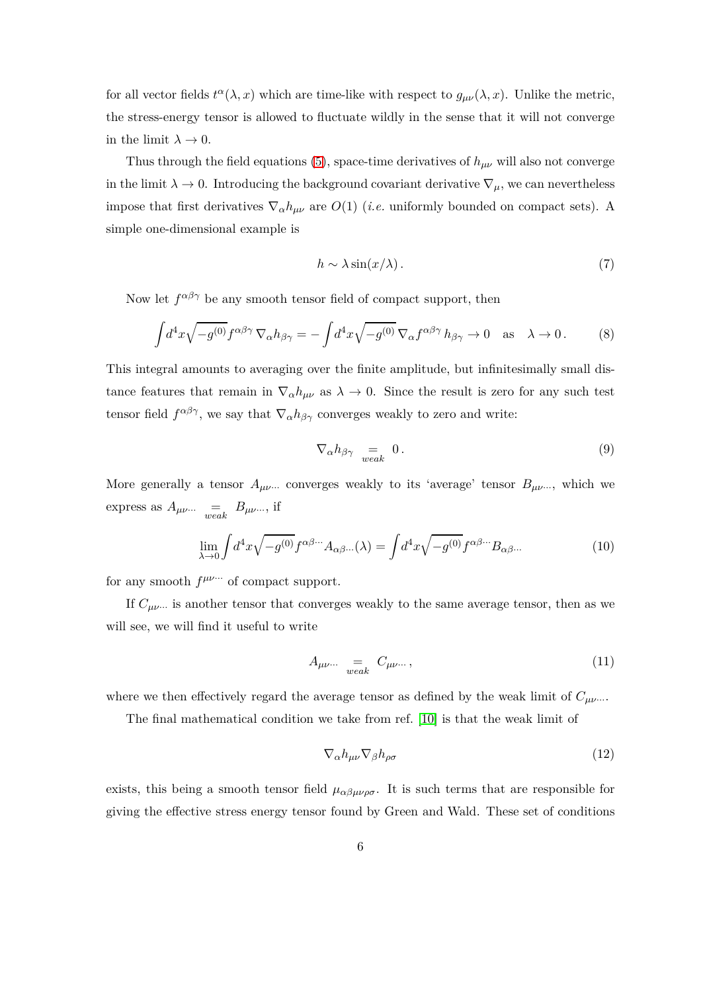for all vector fields  $t^{\alpha}(\lambda, x)$  which are time-like with respect to  $g_{\mu\nu}(\lambda, x)$ . Unlike the metric, the stress-energy tensor is allowed to fluctuate wildly in the sense that it will not converge in the limit  $\lambda \to 0$ .

Thus through the field equations [\(5\)](#page-5-1), space-time derivatives of  $h_{\mu\nu}$  will also not converge in the limit  $\lambda \to 0$ . Introducing the background covariant derivative  $\nabla_{\mu}$ , we can nevertheless impose that first derivatives  $\nabla_{\alpha} h_{\mu\nu}$  are  $O(1)$  (*i.e.* uniformly bounded on compact sets). A simple one-dimensional example is

<span id="page-6-1"></span>
$$
h \sim \lambda \sin(x/\lambda). \tag{7}
$$

Now let  $f^{\alpha\beta\gamma}$  be any smooth tensor field of compact support, then

$$
\int d^4x \sqrt{-g^{(0)}} f^{\alpha\beta\gamma} \nabla_{\alpha} h_{\beta\gamma} = -\int d^4x \sqrt{-g^{(0)}} \nabla_{\alpha} f^{\alpha\beta\gamma} h_{\beta\gamma} \to 0 \quad \text{as} \quad \lambda \to 0. \tag{8}
$$

This integral amounts to averaging over the finite amplitude, but infinitesimally small distance features that remain in  $\nabla_{\alpha}h_{\mu\nu}$  as  $\lambda \to 0$ . Since the result is zero for any such test tensor field  $f^{\alpha\beta\gamma}$ , we say that  $\nabla_{\alpha}h_{\beta\gamma}$  converges weakly to zero and write:

<span id="page-6-0"></span>
$$
\nabla_{\alpha} h_{\beta \gamma} = 0.
$$
\n(9)

More generally a tensor  $A_{\mu\nu}$  converges weakly to its 'average' tensor  $B_{\mu\nu}$ , which we express as  $A_{\mu\nu\cdots}$  =  $B_{\mu\nu\cdots}$ , if

$$
\lim_{\lambda \to 0} \int d^4x \sqrt{-g^{(0)}} f^{\alpha \beta \cdots} A_{\alpha \beta \cdots}(\lambda) = \int d^4x \sqrt{-g^{(0)}} f^{\alpha \beta \cdots} B_{\alpha \beta \cdots}
$$
 (10)

for any smooth  $f^{\mu\nu\cdots}$  of compact support.

If  $C_{\mu\nu}$ <sup>\*</sup> is another tensor that converges weakly to the same average tensor, then as we will see, we will find it useful to write

<span id="page-6-3"></span>
$$
A_{\mu\nu\cdots} =_{weak} C_{\mu\nu\cdots}, \qquad (11)
$$

where we then effectively regard the average tensor as defined by the weak limit of  $C_{\mu\nu}$ ...

The final mathematical condition we take from ref. [\[10\]](#page-20-1) is that the weak limit of

<span id="page-6-2"></span>
$$
\nabla_{\alpha} h_{\mu\nu} \nabla_{\beta} h_{\rho\sigma} \tag{12}
$$

exists, this being a smooth tensor field  $\mu_{\alpha\beta\mu\nu\rho\sigma}$ . It is such terms that are responsible for giving the effective stress energy tensor found by Green and Wald. These set of conditions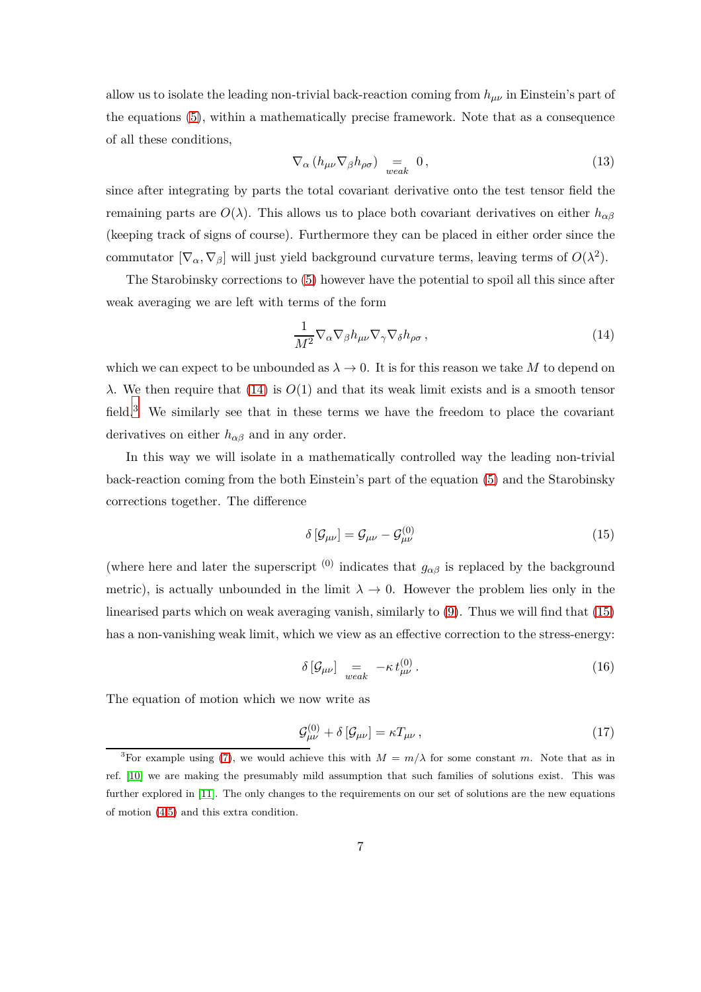allow us to isolate the leading non-trivial back-reaction coming from *hµν* in Einstein's part of the equations [\(5\)](#page-5-1), within a mathematically precise framework. Note that as a consequence of all these conditions,

$$
\nabla_{\alpha} \left( h_{\mu\nu} \nabla_{\beta} h_{\rho\sigma} \right) = \n\underset{weak}{=} 0, \tag{13}
$$

since after integrating by parts the total covariant derivative onto the test tensor field the remaining parts are  $O(\lambda)$ . This allows us to place both covariant derivatives on either  $h_{\alpha\beta}$ (keeping track of signs of course). Furthermore they can be placed in either order since the commutator  $[\nabla_{\alpha}, \nabla_{\beta}]$  will just yield background curvature terms, leaving terms of  $O(\lambda^2)$ .

The Starobinsky corrections to [\(5\)](#page-5-1) however have the potential to spoil all this since after weak averaging we are left with terms of the form

<span id="page-7-0"></span>
$$
\frac{1}{M^2} \nabla_{\alpha} \nabla_{\beta} h_{\mu\nu} \nabla_{\gamma} \nabla_{\delta} h_{\rho\sigma} , \qquad (14)
$$

which we can expect to be unbounded as  $\lambda \to 0$ . It is for this reason we take M to depend on *λ*. We then require that [\(14\)](#page-7-0) is *O*(1) and that its weak limit exists and is a smooth tensor field.<sup>[3](#page-7-1)</sup> We similarly see that in these terms we have the freedom to place the covariant derivatives on either *hαβ* and in any order.

In this way we will isolate in a mathematically controlled way the leading non-trivial back-reaction coming from the both Einstein's part of the equation [\(5\)](#page-5-1) and the Starobinsky corrections together. The difference

<span id="page-7-2"></span>
$$
\delta\left[\mathcal{G}_{\mu\nu}\right] = \mathcal{G}_{\mu\nu} - \mathcal{G}^{(0)}_{\mu\nu} \tag{15}
$$

(where here and later the superscript <sup>(0)</sup> indicates that  $g_{\alpha\beta}$  is replaced by the background metric), is actually unbounded in the limit  $\lambda \to 0$ . However the problem lies only in the linearised parts which on weak averaging vanish, similarly to [\(9\)](#page-6-0). Thus we will find that [\(15\)](#page-7-2) has a non-vanishing weak limit, which we view as an effective correction to the stress-energy:

<span id="page-7-4"></span><span id="page-7-3"></span>
$$
\delta\left[\mathcal{G}_{\mu\nu}\right]_{weak} = -\kappa t_{\mu\nu}^{(0)}.
$$
\n(16)

The equation of motion which we now write as

$$
\mathcal{G}^{(0)}_{\mu\nu} + \delta \left[ \mathcal{G}_{\mu\nu} \right] = \kappa T_{\mu\nu} \,, \tag{17}
$$

<span id="page-7-1"></span><sup>&</sup>lt;sup>3</sup>For example using [\(7\)](#page-6-1), we would achieve this with  $M = m/\lambda$  for some constant *m*. Note that as in ref. [\[10\]](#page-20-1) we are making the presumably mild assumption that such families of solutions exist. This was further explored in [\[11\]](#page-20-2). The only changes to the requirements on our set of solutions are the new equations of motion [\(4](#page-5-3)[,5\)](#page-5-1) and this extra condition.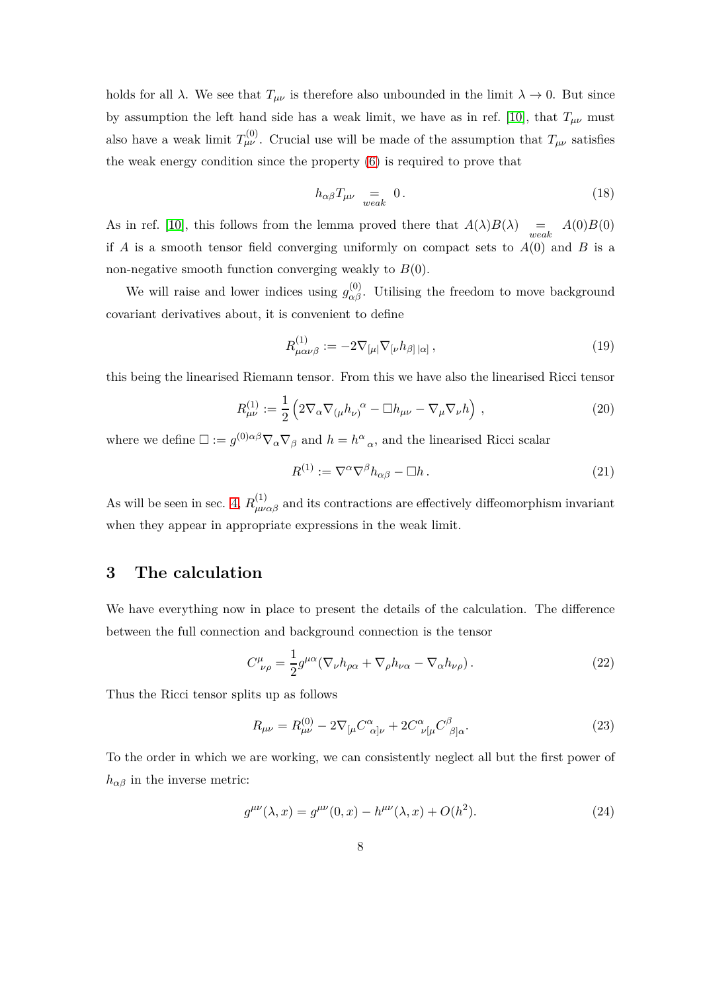holds for all  $\lambda$ . We see that  $T_{\mu\nu}$  is therefore also unbounded in the limit  $\lambda \to 0$ . But since by assumption the left hand side has a weak limit, we have as in ref. [\[10\]](#page-20-1), that  $T_{\mu\nu}$  must also have a weak limit  $T_{\mu\nu}^{(0)}$ . Crucial use will be made of the assumption that  $T_{\mu\nu}$  satisfies the weak energy condition since the property [\(6\)](#page-5-4) is required to prove that

<span id="page-8-1"></span>
$$
h_{\alpha\beta}T_{\mu\nu} = 0.
$$
 (18)

As in ref. [\[10\]](#page-20-1), this follows from the lemma proved there that  $A(\lambda)B(\lambda) = A(0)B(0)$ if *A* is a smooth tensor field converging uniformly on compact sets to  $A(0)$  and *B* is a non-negative smooth function converging weakly to *B*(0).

We will raise and lower indices using  $g_{\alpha\beta}^{(0)}$ . Utilising the freedom to move background covariant derivatives about, it is convenient to define

$$
R^{(1)}_{\mu\alpha\nu\beta} := -2\nabla_{[\mu|}\nabla_{[\nu}h_{\beta]|\alpha]},\tag{19}
$$

this being the linearised Riemann tensor. From this we have also the linearised Ricci tensor

$$
R^{(1)}_{\mu\nu} := \frac{1}{2} \left( 2 \nabla_{\alpha} \nabla_{(\mu} h_{\nu)}{}^{\alpha} - \Box h_{\mu\nu} - \nabla_{\mu} \nabla_{\nu} h \right) , \qquad (20)
$$

where we define  $\Box := g^{(0)}{}^{\alpha\beta}\nabla_\alpha\nabla_\beta$  and  $h = h^{\alpha}{}_{\alpha}$ , and the linearised Ricci scalar

$$
R^{(1)} := \nabla^{\alpha} \nabla^{\beta} h_{\alpha\beta} - \Box h \,. \tag{21}
$$

As will be seen in sec. [4,](#page-11-0)  $R^{(1)}_{\mu\nu\alpha\beta}$  and its contractions are effectively diffeomorphism invariant when they appear in appropriate expressions in the weak limit.

### <span id="page-8-0"></span>**3 The calculation**

We have everything now in place to present the details of the calculation. The difference between the full connection and background connection is the tensor

$$
C^{\mu}_{\ \nu\rho} = \frac{1}{2} g^{\mu\alpha} (\nabla_{\nu} h_{\rho\alpha} + \nabla_{\rho} h_{\nu\alpha} - \nabla_{\alpha} h_{\nu\rho}). \tag{22}
$$

Thus the Ricci tensor splits up as follows

$$
R_{\mu\nu} = R_{\mu\nu}^{(0)} - 2\nabla_{[\mu}C^{\alpha}_{\ \alpha]\nu} + 2C^{\alpha}_{\ \nu[\mu}C^{\beta}_{\ \beta]\alpha}.
$$
 (23)

To the order in which we are working, we can consistently neglect all but the first power of  $h_{\alpha\beta}$  in the inverse metric:

<span id="page-8-2"></span>
$$
g^{\mu\nu}(\lambda, x) = g^{\mu\nu}(0, x) - h^{\mu\nu}(\lambda, x) + O(h^2).
$$
 (24)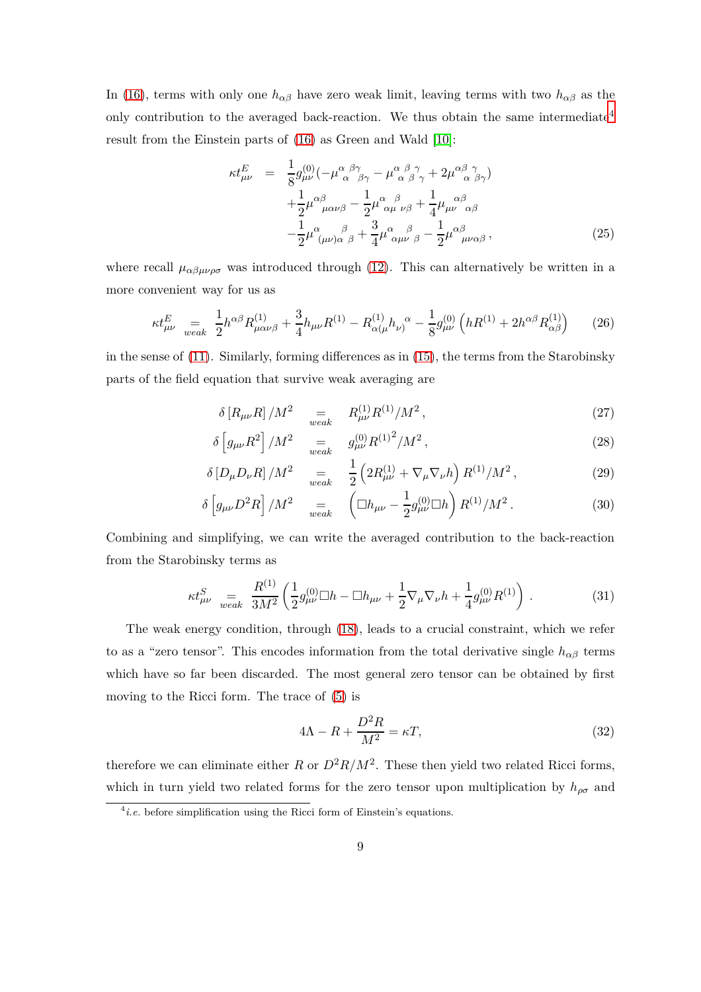In [\(16\)](#page-7-3), terms with only one  $h_{\alpha\beta}$  have zero weak limit, leaving terms with two  $h_{\alpha\beta}$  as the only contribution to the averaged back-reaction. We thus obtain the same intermediate<sup>[4](#page-9-0)</sup> result from the Einstein parts of [\(16\)](#page-7-3) as Green and Wald [\[10\]](#page-20-1):

<span id="page-9-3"></span>
$$
\kappa t_{\mu\nu}^{E} = \frac{1}{8} g_{\mu\nu}^{(0)} \left( -\mu_{\alpha}^{\alpha}{}_{\beta\gamma}^{\beta\gamma} - \mu_{\alpha}^{\alpha}{}_{\beta}^{\beta}{}_{\gamma} + 2\mu_{\alpha}^{\alpha}{}_{\beta}^{\beta}{}_{\gamma} \right) + \frac{1}{2} \mu_{\mu\alpha\nu\beta}^{\alpha\beta} - \frac{1}{2} \mu_{\alpha\mu}^{\alpha}{}_{\nu\beta}^{\beta} + \frac{1}{4} \mu_{\mu\nu}^{\alpha\beta}{}_{\alpha\beta}^{\beta} - \frac{1}{2} \mu_{(\mu\nu)\alpha}^{\alpha}{}_{\beta}^{\beta} + \frac{3}{4} \mu_{\alpha\mu\nu}^{\alpha}{}_{\beta}^{\beta} - \frac{1}{2} \mu_{\mu\nu\alpha\beta}^{\alpha} ,
$$
 (25)

where recall  $\mu_{\alpha\beta\mu\nu\rho\sigma}$  was introduced through [\(12\)](#page-6-2). This can alternatively be written in a more convenient way for us as

$$
\kappa t_{\mu\nu}^{E} \quad = \frac{1}{2} h^{\alpha\beta} R_{\mu\alpha\nu\beta}^{(1)} + \frac{3}{4} h_{\mu\nu} R^{(1)} - R_{\alpha(\mu}^{(1)} h_{\nu)}^{\alpha} - \frac{1}{8} g_{\mu\nu}^{(0)} \left( h R^{(1)} + 2 h^{\alpha\beta} R_{\alpha\beta}^{(1)} \right) \tag{26}
$$

in the sense of [\(11\)](#page-6-3). Similarly, forming differences as in [\(15\)](#page-7-2), the terms from the Starobinsky parts of the field equation that survive weak averaging are

<span id="page-9-4"></span>
$$
\delta \left[ R_{\mu\nu} R \right] / M^2 \quad \underset{weak}{=} \quad R_{\mu\nu}^{(1)} R^{(1)} / M^2 \,, \tag{27}
$$

$$
\delta \left[ g_{\mu\nu} R^2 \right] / M^2 \quad \underset{weak}{=} \quad g_{\mu\nu}^{(0)} R^{(1)^2} / M^2 \,, \tag{28}
$$

$$
\delta \left[ D_{\mu} D_{\nu} R \right] / M^2 \quad \underset{weak}{=} \quad \frac{1}{2} \left( 2R_{\mu\nu}^{(1)} + \nabla_{\mu} \nabla_{\nu} h \right) R^{(1)} / M^2 \,, \tag{29}
$$

<span id="page-9-2"></span>
$$
\delta \left[ g_{\mu\nu} D^2 R \right] / M^2 \quad = \quad \left( \Box h_{\mu\nu} - \frac{1}{2} g_{\mu\nu}^{(0)} \Box h \right) R^{(1)} / M^2 \,. \tag{30}
$$

Combining and simplifying, we can write the averaged contribution to the back-reaction from the Starobinsky terms as

$$
\kappa t_{\mu\nu}^{S} \underset{weak}{=} \frac{R^{(1)}}{3M^2} \left( \frac{1}{2} g_{\mu\nu}^{(0)} \Box h - \Box h_{\mu\nu} + \frac{1}{2} \nabla_{\mu} \nabla_{\nu} h + \frac{1}{4} g_{\mu\nu}^{(0)} R^{(1)} \right) . \tag{31}
$$

The weak energy condition, through [\(18\)](#page-8-1), leads to a crucial constraint, which we refer to as a "zero tensor". This encodes information from the total derivative single  $h_{\alpha\beta}$  terms which have so far been discarded. The most general zero tensor can be obtained by first moving to the Ricci form. The trace of [\(5\)](#page-5-1) is

<span id="page-9-1"></span>
$$
4\Lambda - R + \frac{D^2 R}{M^2} = \kappa T,\tag{32}
$$

therefore we can eliminate either *R* or  $D^2R/M^2$ . These then yield two related Ricci forms, which in turn yield two related forms for the zero tensor upon multiplication by  $h_{\rho\sigma}$  and

<span id="page-9-0"></span> $<sup>4</sup>i.e.$  before simplification using the Ricci form of Einstein's equations.</sup>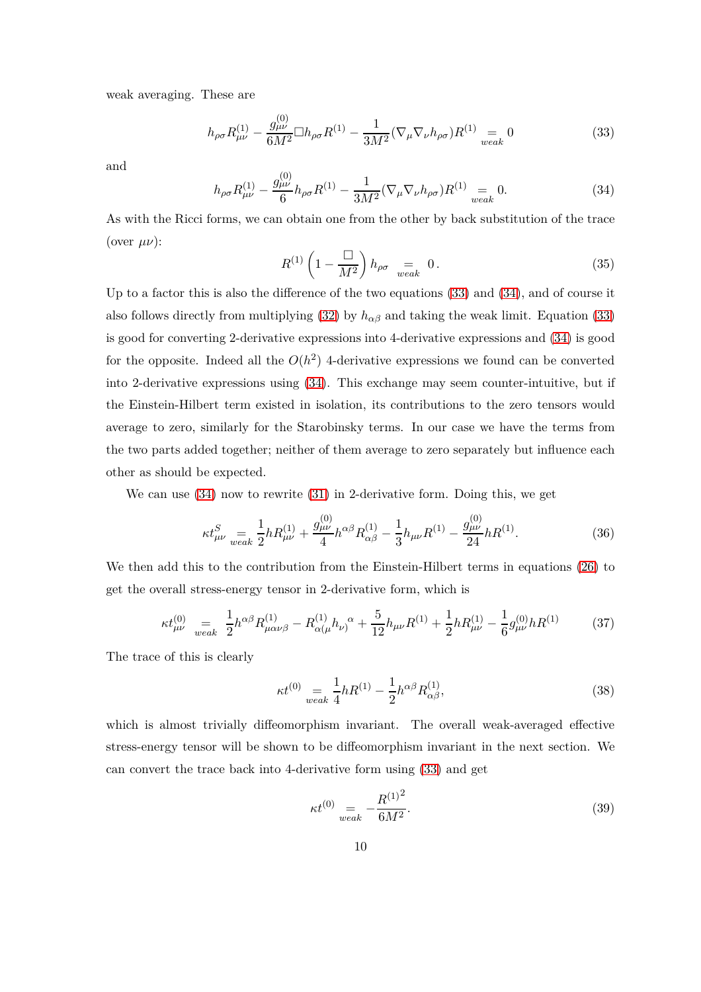weak averaging. These are

<span id="page-10-0"></span>
$$
h_{\rho\sigma}R_{\mu\nu}^{(1)} - \frac{g_{\mu\nu}^{(0)}}{6M^2} \Box h_{\rho\sigma}R^{(1)} - \frac{1}{3M^2} (\nabla_{\mu}\nabla_{\nu}h_{\rho\sigma})R^{(1)} = 0
$$
 (33)

<span id="page-10-1"></span>and

$$
h_{\rho\sigma}R_{\mu\nu}^{(1)} - \frac{g_{\mu\nu}^{(0)}}{6}h_{\rho\sigma}R^{(1)} - \frac{1}{3M^2}(\nabla_{\mu}\nabla_{\nu}h_{\rho\sigma})R^{(1)} = 0.
$$
 (34)

<span id="page-10-4"></span>As with the Ricci forms, we can obtain one from the other by back substitution of the trace (over *µν*):

$$
R^{(1)}\left(1-\frac{\Box}{M^2}\right)h_{\rho\sigma} = 0.
$$
 (35)

Up to a factor this is also the difference of the two equations [\(33\)](#page-10-0) and [\(34\)](#page-10-1), and of course it also follows directly from multiplying [\(32\)](#page-9-1) by  $h_{\alpha\beta}$  and taking the weak limit. Equation [\(33\)](#page-10-0) is good for converting 2-derivative expressions into 4-derivative expressions and [\(34\)](#page-10-1) is good for the opposite. Indeed all the  $O(h^2)$  4-derivative expressions we found can be converted into 2-derivative expressions using [\(34\)](#page-10-1). This exchange may seem counter-intuitive, but if the Einstein-Hilbert term existed in isolation, its contributions to the zero tensors would average to zero, similarly for the Starobinsky terms. In our case we have the terms from the two parts added together; neither of them average to zero separately but influence each other as should be expected.

We can use [\(34\)](#page-10-1) now to rewrite [\(31\)](#page-9-2) in 2-derivative form. Doing this, we get

$$
\kappa t_{\mu\nu}^{S} \underset{weak}{=} \frac{1}{2} h R_{\mu\nu}^{(1)} + \frac{g_{\mu\nu}^{(0)}}{4} h^{\alpha\beta} R_{\alpha\beta}^{(1)} - \frac{1}{3} h_{\mu\nu} R^{(1)} - \frac{g_{\mu\nu}^{(0)}}{24} h R^{(1)}.
$$
 (36)

We then add this to the contribution from the Einstein-Hilbert terms in equations [\(26\)](#page-9-3) to get the overall stress-energy tensor in 2-derivative form, which is

$$
\kappa t_{\mu\nu}^{(0)} \underset{weak}{=} \frac{1}{2} h^{\alpha\beta} R_{\mu\alpha\nu\beta}^{(1)} - R_{\alpha(\mu}^{(1)} h_{\nu)}^{\ \alpha} + \frac{5}{12} h_{\mu\nu} R^{(1)} + \frac{1}{2} h R_{\mu\nu}^{(1)} - \frac{1}{6} g_{\mu\nu}^{(0)} h R^{(1)} \tag{37}
$$

The trace of this is clearly

<span id="page-10-6"></span><span id="page-10-5"></span><span id="page-10-3"></span>
$$
\kappa t^{(0)} = \frac{1}{4} h R^{(1)} - \frac{1}{2} h^{\alpha \beta} R^{(1)}_{\alpha \beta},
$$
\n(38)

which is almost trivially diffeomorphism invariant. The overall weak-averaged effective stress-energy tensor will be shown to be diffeomorphism invariant in the next section. We can convert the trace back into 4-derivative form using [\(33\)](#page-10-0) and get

<span id="page-10-2"></span>
$$
\kappa t^{(0)} = \frac{R^{(1)^2}}{6M^2}.
$$
\n(39)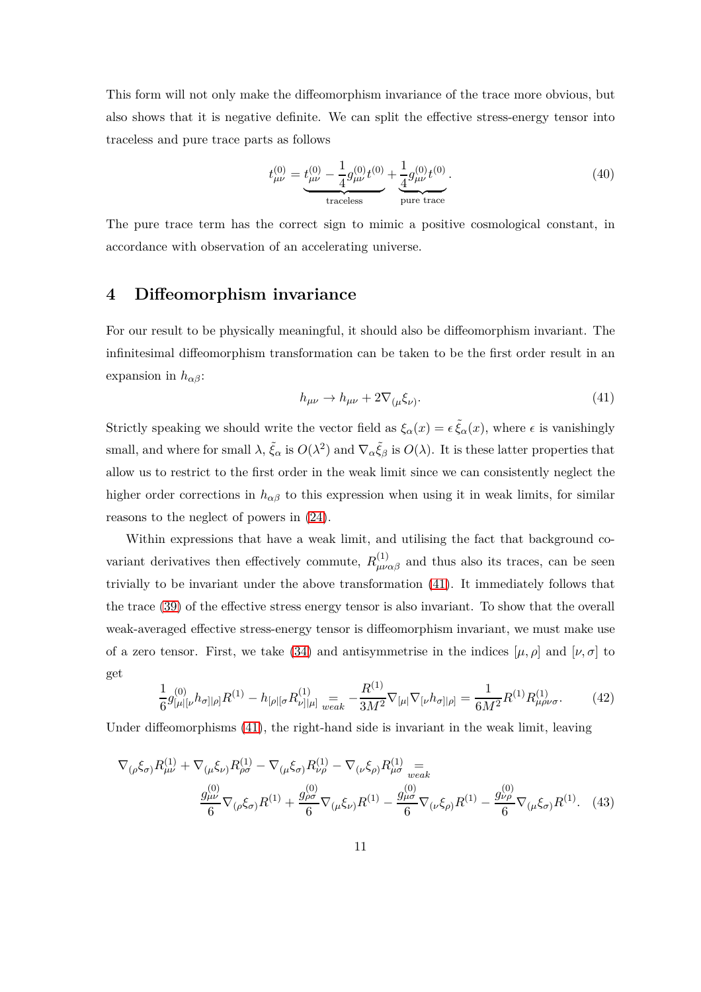This form will not only make the diffeomorphism invariance of the trace more obvious, but also shows that it is negative definite. We can split the effective stress-energy tensor into traceless and pure trace parts as follows

$$
t_{\mu\nu}^{(0)} = \underbrace{t_{\mu\nu}^{(0)} - \frac{1}{4}g_{\mu\nu}^{(0)}t^{(0)}}_{\text{traceless}} + \underbrace{\frac{1}{4}g_{\mu\nu}^{(0)}t^{(0)}}_{\text{pure trace}}.
$$
 (40)

<span id="page-11-0"></span>The pure trace term has the correct sign to mimic a positive cosmological constant, in accordance with observation of an accelerating universe.

### **4 Diffeomorphism invariance**

For our result to be physically meaningful, it should also be diffeomorphism invariant. The infinitesimal diffeomorphism transformation can be taken to be the first order result in an expansion in *hαβ*:

<span id="page-11-1"></span>
$$
h_{\mu\nu} \to h_{\mu\nu} + 2\nabla_{(\mu}\xi_{\nu)}.\tag{41}
$$

Strictly speaking we should write the vector field as  $\xi_\alpha(x) = \epsilon \tilde{\xi}_\alpha(x)$ , where  $\epsilon$  is vanishingly small, and where for small  $\lambda$ ,  $\tilde{\xi}_{\alpha}$  is  $O(\lambda^2)$  and  $\nabla_{\alpha} \tilde{\xi}_{\beta}$  is  $O(\lambda)$ . It is these latter properties that allow us to restrict to the first order in the weak limit since we can consistently neglect the higher order corrections in  $h_{\alpha\beta}$  to this expression when using it in weak limits, for similar reasons to the neglect of powers in [\(24\)](#page-8-2).

Within expressions that have a weak limit, and utilising the fact that background covariant derivatives then effectively commute,  $R_{\mu\nu\alpha\beta}^{(1)}$  and thus also its traces, can be seen trivially to be invariant under the above transformation [\(41\)](#page-11-1). It immediately follows that the trace [\(39\)](#page-10-2) of the effective stress energy tensor is also invariant. To show that the overall weak-averaged effective stress-energy tensor is diffeomorphism invariant, we must make use of a zero tensor. First, we take [\(34\)](#page-10-1) and antisymmetrise in the indices  $[\mu, \rho]$  and  $[\nu, \sigma]$  to get

$$
\frac{1}{6}g_{\lbrack\mu\rbrack\lbrack\nu}^{(0)}h_{\sigma\rbrack\rbrack\rho\rbrack}R^{(1)} - h_{\lbrack\rho\rbrack\lbrack\sigma}R^{(1)}_{\nu\rbrack\lbrack\mu\rbrack} \underset{weak}{=} -\frac{R^{(1)}}{3M^2} \nabla_{\lbrack\mu\rbrack} \nabla_{\lbrack\nu} h_{\sigma\rbrack\rvert\rho\rbrack} = \frac{1}{6M^2}R^{(1)}R^{(1)}_{\mu\rho\nu\sigma}.
$$
 (42)

Under diffeomorphisms [\(41\)](#page-11-1), the right-hand side is invariant in the weak limit, leaving

$$
\nabla_{(\rho}\xi_{\sigma)}R_{\mu\nu}^{(1)} + \nabla_{(\mu}\xi_{\nu)}R_{\rho\sigma}^{(1)} - \nabla_{(\mu}\xi_{\sigma)}R_{\nu\rho}^{(1)} - \nabla_{(\nu}\xi_{\rho)}R_{\mu\sigma}^{(1)} =\n \frac{g_{\mu\nu}^{(0)}}{6}\n \nabla_{(\rho}\xi_{\sigma)}R^{(1)} + \frac{g_{\rho\sigma}^{(0)}}{6}\n \nabla_{(\mu}\xi_{\nu)}R^{(1)} - \frac{g_{\mu\sigma}^{(0)}}{6}\n \nabla_{(\nu}\xi_{\rho)}R^{(1)} - \frac{g_{\nu\rho}^{(0)}}{6}\n \n \nabla_{(\mu}\xi_{\sigma)}R^{(1)}.
$$
\n(43)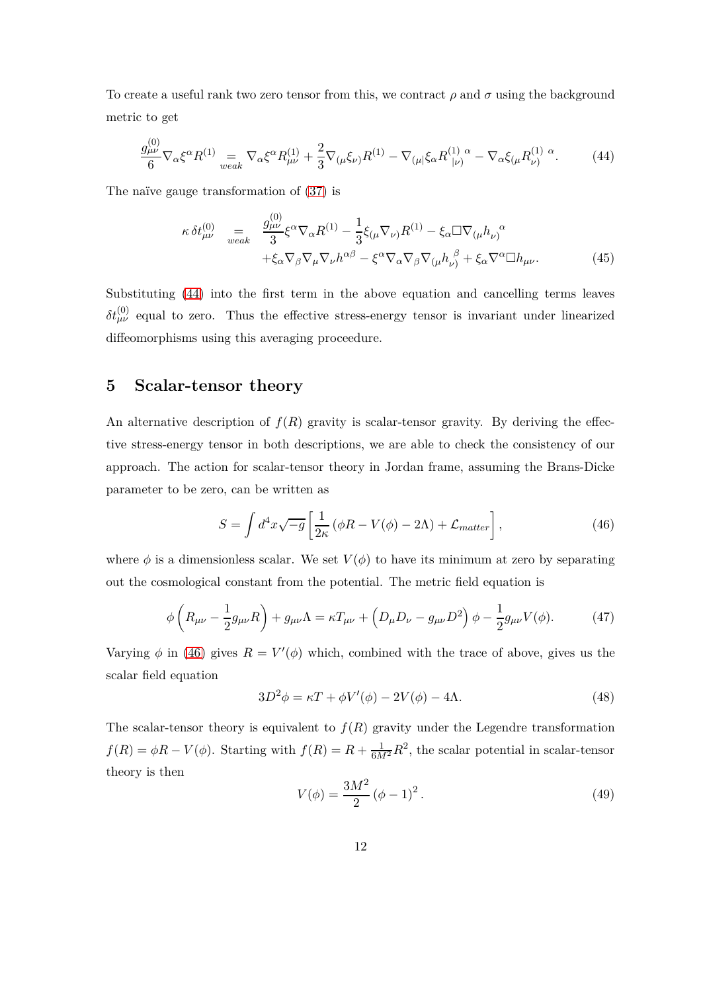To create a useful rank two zero tensor from this, we contract  $\rho$  and  $\sigma$  using the background metric to get

<span id="page-12-1"></span>
$$
\frac{g_{\mu\nu}^{(0)}}{6} \nabla_{\alpha} \xi^{\alpha} R^{(1)} \underset{weak}{=} \nabla_{\alpha} \xi^{\alpha} R^{(1)}_{\mu\nu} + \frac{2}{3} \nabla_{(\mu} \xi_{\nu)} R^{(1)} - \nabla_{(\mu} \xi_{\alpha} R^{(1)}_{\ |\nu)}{}^{\alpha} - \nabla_{\alpha} \xi_{(\mu} R^{(1)}_{\nu)}{}^{\alpha}.
$$
 (44)

The naïve gauge transformation of  $(37)$  is

$$
\kappa \,\delta t^{(0)}_{\mu\nu} \quad = \quad \frac{g^{(0)}_{\mu\nu}}{3} \xi^{\alpha} \nabla_{\alpha} R^{(1)} - \frac{1}{3} \xi_{(\mu} \nabla_{\nu)} R^{(1)} - \xi_{\alpha} \Box \nabla_{(\mu} h_{\nu)}^{\alpha} \n+ \xi_{\alpha} \nabla_{\beta} \nabla_{\mu} \nabla_{\nu} h^{\alpha\beta} - \xi^{\alpha} \nabla_{\alpha} \nabla_{\beta} \nabla_{(\mu} h_{\nu)}^{\beta} + \xi_{\alpha} \nabla^{\alpha} \Box h_{\mu\nu}.
$$
\n(45)

Substituting [\(44\)](#page-12-1) into the first term in the above equation and cancelling terms leaves  $\delta t_{\mu\nu}^{(0)}$  equal to zero. Thus the effective stress-energy tensor is invariant under linearized diffeomorphisms using this averaging proceedure.

## <span id="page-12-0"></span>**5 Scalar-tensor theory**

An alternative description of  $f(R)$  gravity is scalar-tensor gravity. By deriving the effective stress-energy tensor in both descriptions, we are able to check the consistency of our approach. The action for scalar-tensor theory in Jordan frame, assuming the Brans-Dicke parameter to be zero, can be written as

<span id="page-12-2"></span>
$$
S = \int d^4x \sqrt{-g} \left[ \frac{1}{2\kappa} \left( \phi R - V(\phi) - 2\Lambda \right) + \mathcal{L}_{matter} \right],\tag{46}
$$

where  $\phi$  is a dimensionless scalar. We set  $V(\phi)$  to have its minimum at zero by separating out the cosmological constant from the potential. The metric field equation is

$$
\phi\left(R_{\mu\nu} - \frac{1}{2}g_{\mu\nu}R\right) + g_{\mu\nu}\Lambda = \kappa T_{\mu\nu} + \left(D_{\mu}D_{\nu} - g_{\mu\nu}D^2\right)\phi - \frac{1}{2}g_{\mu\nu}V(\phi). \tag{47}
$$

Varying  $\phi$  in [\(46\)](#page-12-2) gives  $R = V'(\phi)$  which, combined with the trace of above, gives us the scalar field equation

<span id="page-12-5"></span><span id="page-12-4"></span>
$$
3D^2\phi = \kappa T + \phi V'(\phi) - 2V(\phi) - 4\Lambda.
$$
\n(48)

<span id="page-12-3"></span>The scalar-tensor theory is equivalent to  $f(R)$  gravity under the Legendre transformation  $f(R) = \phi R - V(\phi)$ . Starting with  $f(R) = R + \frac{1}{6M^2}R^2$ , the scalar potential in scalar-tensor theory is then

$$
V(\phi) = \frac{3M^2}{2} (\phi - 1)^2.
$$
 (49)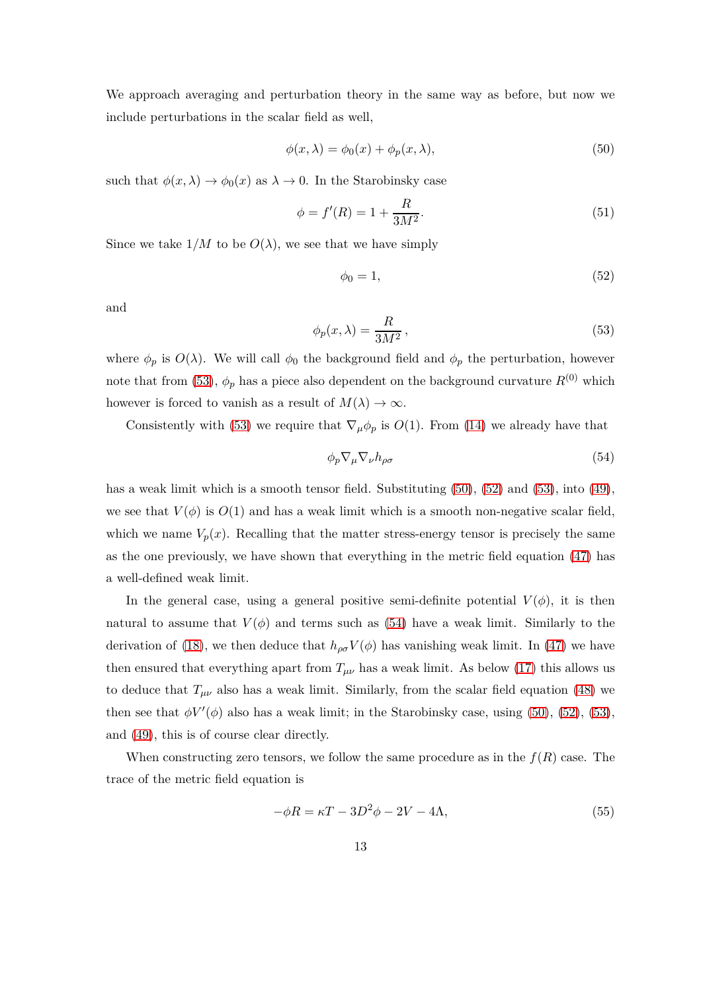We approach averaging and perturbation theory in the same way as before, but now we include perturbations in the scalar field as well,

<span id="page-13-1"></span>
$$
\phi(x,\lambda) = \phi_0(x) + \phi_p(x,\lambda),\tag{50}
$$

such that  $\phi(x, \lambda) \to \phi_0(x)$  as  $\lambda \to 0$ . In the Starobinsky case

$$
\phi = f'(R) = 1 + \frac{R}{3M^2}.\tag{51}
$$

Since we take  $1/M$  to be  $O(\lambda)$ , we see that we have simply

<span id="page-13-2"></span>
$$
\phi_0 = 1,\tag{52}
$$

<span id="page-13-0"></span>and

$$
\phi_p(x,\lambda) = \frac{R}{3M^2},\tag{53}
$$

where  $\phi_p$  is  $O(\lambda)$ . We will call  $\phi_0$  the background field and  $\phi_p$  the perturbation, however note that from [\(53\)](#page-13-0),  $\phi_p$  has a piece also dependent on the background curvature  $R^{(0)}$  which however is forced to vanish as a result of  $M(\lambda) \to \infty$ .

Consistently with [\(53\)](#page-13-0) we require that  $\nabla_{\mu} \phi_p$  is *O*(1). From [\(14\)](#page-7-0) we already have that

<span id="page-13-3"></span>
$$
\phi_p \nabla_\mu \nabla_\nu h_{\rho \sigma} \tag{54}
$$

has a weak limit which is a smooth tensor field. Substituting  $(50)$ ,  $(52)$  and  $(53)$ , into  $(49)$ , we see that  $V(\phi)$  is  $O(1)$  and has a weak limit which is a smooth non-negative scalar field, which we name  $V_p(x)$ . Recalling that the matter stress-energy tensor is precisely the same as the one previously, we have shown that everything in the metric field equation [\(47\)](#page-12-4) has a well-defined weak limit.

In the general case, using a general positive semi-definite potential  $V(\phi)$ , it is then natural to assume that  $V(\phi)$  and terms such as [\(54\)](#page-13-3) have a weak limit. Similarly to the derivation of [\(18\)](#page-8-1), we then deduce that  $h_{\rho\sigma}V(\phi)$  has vanishing weak limit. In [\(47\)](#page-12-4) we have then ensured that everything apart from  $T_{\mu\nu}$  has a weak limit. As below [\(17\)](#page-7-4) this allows us to deduce that  $T_{\mu\nu}$  also has a weak limit. Similarly, from the scalar field equation [\(48\)](#page-12-5) we then see that  $\phi V'(\phi)$  also has a weak limit; in the Starobinsky case, using [\(50\)](#page-13-1), [\(52\)](#page-13-2), [\(53\)](#page-13-0), and [\(49\)](#page-12-3), this is of course clear directly.

When constructing zero tensors, we follow the same procedure as in the  $f(R)$  case. The trace of the metric field equation is

$$
-\phi R = \kappa T - 3D^2 \phi - 2V - 4\Lambda,\tag{55}
$$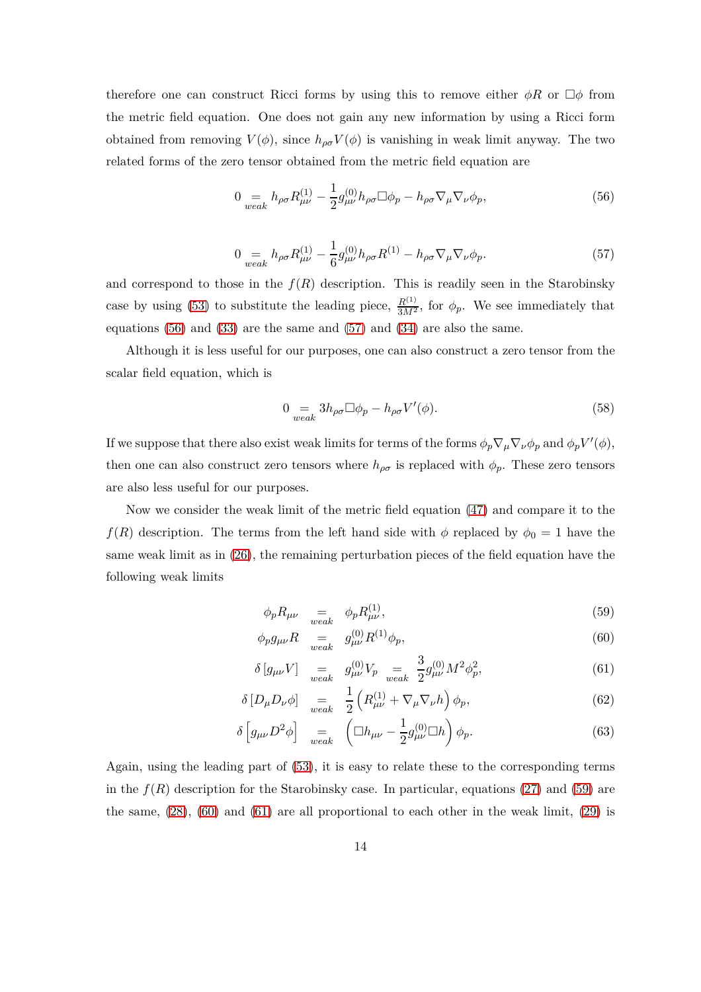therefore one can construct Ricci forms by using this to remove either  $\phi R$  or  $\Box \phi$  from the metric field equation. One does not gain any new information by using a Ricci form obtained from removing  $V(\phi)$ , since  $h_{\rho\sigma}V(\phi)$  is vanishing in weak limit anyway. The two related forms of the zero tensor obtained from the metric field equation are

<span id="page-14-0"></span>
$$
0 \underset{weak}{=} h_{\rho\sigma} R_{\mu\nu}^{(1)} - \frac{1}{2} g_{\mu\nu}^{(0)} h_{\rho\sigma} \Box \phi_p - h_{\rho\sigma} \nabla_\mu \nabla_\nu \phi_p, \tag{56}
$$

$$
0 =_{weak} h_{\rho\sigma} R^{(1)}_{\mu\nu} - \frac{1}{6} g^{(0)}_{\mu\nu} h_{\rho\sigma} R^{(1)} - h_{\rho\sigma} \nabla_{\mu} \nabla_{\nu} \phi_p. \tag{57}
$$

<span id="page-14-1"></span>and correspond to those in the  $f(R)$  description. This is readily seen in the Starobinsky case by using [\(53\)](#page-13-0) to substitute the leading piece,  $\frac{R^{(1)}}{3M^2}$ , for  $\phi_p$ . We see immediately that equations [\(56\)](#page-14-0) and [\(33\)](#page-10-0) are the same and [\(57\)](#page-14-1) and [\(34\)](#page-10-1) are also the same.

Although it is less useful for our purposes, one can also construct a zero tensor from the scalar field equation, which is

$$
0 = \underset{weak}{=} 3h_{\rho\sigma} \Box \phi_p - h_{\rho\sigma} V'(\phi). \tag{58}
$$

If we suppose that there also exist weak limits for terms of the forms  $\phi_p \nabla_\mu \nabla_\nu \phi_p$  and  $\phi_p V'(\phi)$ , then one can also construct zero tensors where  $h_{\rho\sigma}$  is replaced with  $\phi_p$ . These zero tensors are also less useful for our purposes.

Now we consider the weak limit of the metric field equation [\(47\)](#page-12-4) and compare it to the *f*(*R*) description. The terms from the left hand side with  $\phi$  replaced by  $\phi_0 = 1$  have the same weak limit as in [\(26\)](#page-9-3), the remaining perturbation pieces of the field equation have the following weak limits

<span id="page-14-2"></span>
$$
\phi_p R_{\mu\nu} = \underset{weak}{=} \phi_p R_{\mu\nu}^{(1)},\tag{59}
$$

$$
\phi_p g_{\mu\nu} R \quad = \quad g_{\mu\nu}^{(0)} R^{(1)} \phi_p,\tag{60}
$$

$$
\delta [g_{\mu\nu} V] \quad =_{weak} \quad g_{\mu\nu}^{(0)} V_p \quad =_{weak} \quad \frac{3}{2} g_{\mu\nu}^{(0)} M^2 \phi_p^2,\tag{61}
$$

$$
\delta \left[ D_{\mu} D_{\nu} \phi \right] = \frac{1}{2} \left( R_{\mu\nu}^{(1)} + \nabla_{\mu} \nabla_{\nu} h \right) \phi_p, \tag{62}
$$

$$
\delta \left[ g_{\mu\nu} D^2 \phi \right]_{\nu} = \left( \Box h_{\mu\nu} - \frac{1}{2} g_{\mu\nu}^{(0)} \Box h \right) \phi_p. \tag{63}
$$

Again, using the leading part of [\(53\)](#page-13-0), it is easy to relate these to the corresponding terms in the  $f(R)$  description for the Starobinsky case. In particular, equations [\(27\)](#page-9-4) and [\(59\)](#page-14-2) are the same, [\(28\)](#page-9-4), [\(60\)](#page-14-2) and [\(61\)](#page-14-2) are all proportional to each other in the weak limit, [\(29\)](#page-9-4) is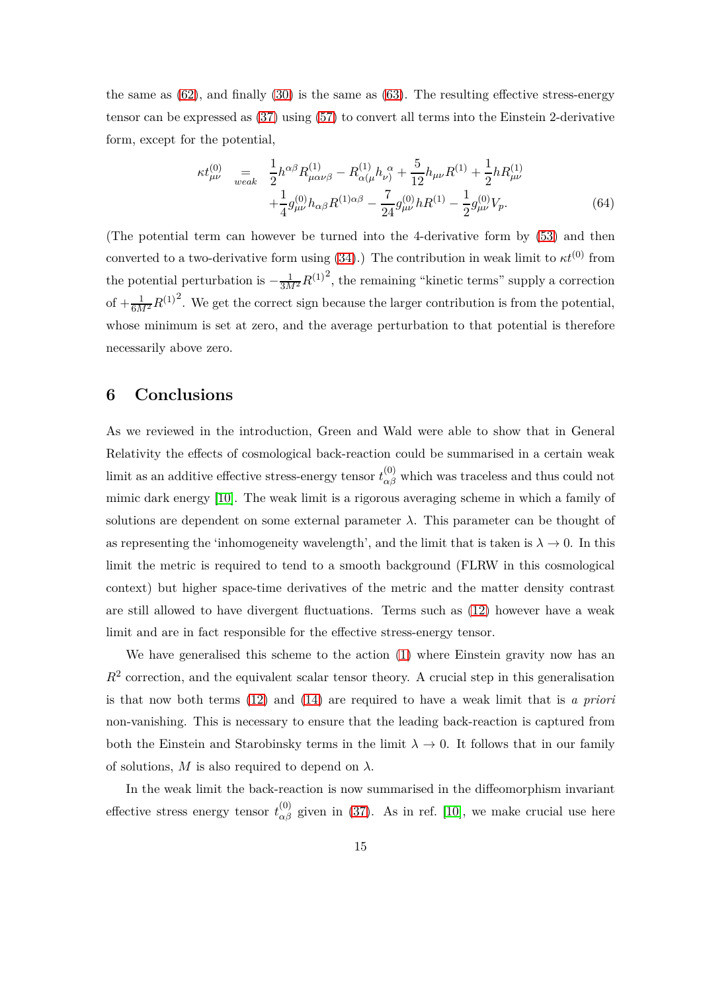the same as  $(62)$ , and finally  $(30)$  is the same as  $(63)$ . The resulting effective stress-energy tensor can be expressed as [\(37\)](#page-10-3) using [\(57\)](#page-14-1) to convert all terms into the Einstein 2-derivative form, except for the potential,

$$
\kappa t_{\mu\nu}^{(0)} = \frac{1}{2} h^{\alpha\beta} R_{\mu\alpha\nu\beta}^{(1)} - R_{\alpha(\mu}^{(1)} h_{\nu)}^{\ \alpha} + \frac{5}{12} h_{\mu\nu} R^{(1)} + \frac{1}{2} h R_{\mu\nu}^{(1)} + \frac{1}{4} g_{\mu\nu}^{(0)} h_{\alpha\beta} R^{(1)\alpha\beta} - \frac{7}{24} g_{\mu\nu}^{(0)} h R^{(1)} - \frac{1}{2} g_{\mu\nu}^{(0)} V_p. \tag{64}
$$

(The potential term can however be turned into the 4-derivative form by [\(53\)](#page-13-0) and then converted to a two-derivative form using  $(34)$ .) The contribution in weak limit to  $\kappa t^{(0)}$  from the potential perturbation is  $-\frac{1}{3M^2}R^{(1)^2}$ , the remaining "kinetic terms" supply a correction of  $+\frac{1}{6M^2}R^{(1)^2}$ . We get the correct sign because the larger contribution is from the potential, whose minimum is set at zero, and the average perturbation to that potential is therefore necessarily above zero.

#### <span id="page-15-0"></span>**6 Conclusions**

As we reviewed in the introduction, Green and Wald were able to show that in General Relativity the effects of cosmological back-reaction could be summarised in a certain weak limit as an additive effective stress-energy tensor  $t^{(0)}_{\alpha\beta}$  which was traceless and thus could not mimic dark energy [\[10\]](#page-20-1). The weak limit is a rigorous averaging scheme in which a family of solutions are dependent on some external parameter  $\lambda$ . This parameter can be thought of as representing the 'inhomogeneity wavelength', and the limit that is taken is  $\lambda \to 0$ . In this limit the metric is required to tend to a smooth background (FLRW in this cosmological context) but higher space-time derivatives of the metric and the matter density contrast are still allowed to have divergent fluctuations. Terms such as [\(12\)](#page-6-2) however have a weak limit and are in fact responsible for the effective stress-energy tensor.

We have generalised this scheme to the action [\(1\)](#page-2-0) where Einstein gravity now has an  $R<sup>2</sup>$  correction, and the equivalent scalar tensor theory. A crucial step in this generalisation is that now both terms [\(12\)](#page-6-2) and [\(14\)](#page-7-0) are required to have a weak limit that is *a priori* non-vanishing. This is necessary to ensure that the leading back-reaction is captured from both the Einstein and Starobinsky terms in the limit  $\lambda \to 0$ . It follows that in our family of solutions,  $M$  is also required to depend on  $\lambda$ .

In the weak limit the back-reaction is now summarised in the diffeomorphism invariant effective stress energy tensor  $t^{(0)}_{\alpha\beta}$  given in [\(37\)](#page-10-3). As in ref. [\[10\]](#page-20-1), we make crucial use here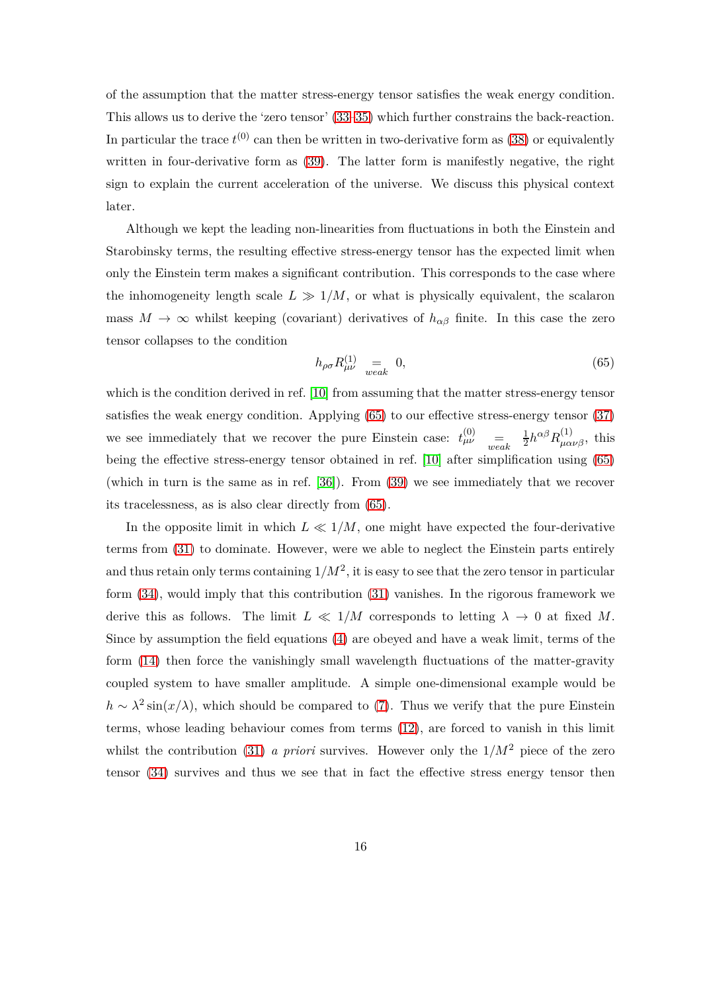of the assumption that the matter stress-energy tensor satisfies the weak energy condition. This allows us to derive the 'zero tensor' [\(33–](#page-10-0)[35\)](#page-10-4) which further constrains the back-reaction. In particular the trace  $t^{(0)}$  can then be written in two-derivative form as  $(38)$  or equivalently written in four-derivative form as [\(39\)](#page-10-2). The latter form is manifestly negative, the right sign to explain the current acceleration of the universe. We discuss this physical context later.

Although we kept the leading non-linearities from fluctuations in both the Einstein and Starobinsky terms, the resulting effective stress-energy tensor has the expected limit when only the Einstein term makes a significant contribution. This corresponds to the case where the inhomogeneity length scale  $L \gg 1/M$ , or what is physically equivalent, the scalaron mass  $M \to \infty$  whilst keeping (covariant) derivatives of  $h_{\alpha\beta}$  finite. In this case the zero tensor collapses to the condition

<span id="page-16-0"></span>
$$
h_{\rho\sigma}R^{(1)}_{\mu\nu} = 0,\t\t(65)
$$

which is the condition derived in ref. [\[10\]](#page-20-1) from assuming that the matter stress-energy tensor satisfies the weak energy condition. Applying [\(65\)](#page-16-0) to our effective stress-energy tensor [\(37\)](#page-10-3) we see immediately that we recover the pure Einstein case:  $t_{\mu\nu}^{(0)}$  $\stackrel{(0)}{\mu\nu}$  = 1  $\frac{1}{2}h^{\alpha\beta}R^{(1)}_{\mu\alpha\nu\beta}$ , this being the effective stress-energy tensor obtained in ref. [\[10\]](#page-20-1) after simplification using [\(65\)](#page-16-0) (which in turn is the same as in ref. [\[36\]](#page-22-0)). From [\(39\)](#page-10-2) we see immediately that we recover its tracelessness, as is also clear directly from [\(65\)](#page-16-0).

In the opposite limit in which  $L \ll 1/M$ , one might have expected the four-derivative terms from [\(31\)](#page-9-2) to dominate. However, were we able to neglect the Einstein parts entirely and thus retain only terms containing  $1/M^2$ , it is easy to see that the zero tensor in particular form [\(34\)](#page-10-1), would imply that this contribution [\(31\)](#page-9-2) vanishes. In the rigorous framework we derive this as follows. The limit  $L \ll 1/M$  corresponds to letting  $\lambda \to 0$  at fixed M. Since by assumption the field equations [\(4\)](#page-5-3) are obeyed and have a weak limit, terms of the form [\(14\)](#page-7-0) then force the vanishingly small wavelength fluctuations of the matter-gravity coupled system to have smaller amplitude. A simple one-dimensional example would be  $h \sim \lambda^2 \sin(x/\lambda)$ , which should be compared to [\(7\)](#page-6-1). Thus we verify that the pure Einstein terms, whose leading behaviour comes from terms [\(12\)](#page-6-2), are forced to vanish in this limit whilst the contribution [\(31\)](#page-9-2) *a priori* survives. However only the  $1/M^2$  piece of the zero tensor [\(34\)](#page-10-1) survives and thus we see that in fact the effective stress energy tensor then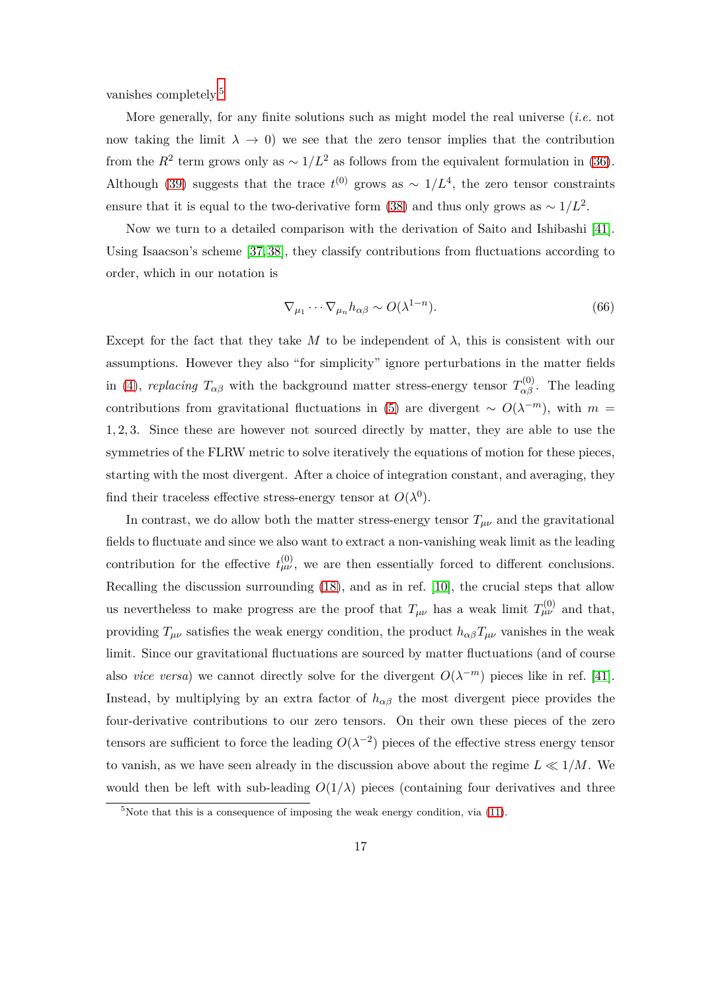vanishes completely.[5](#page-17-0)

More generally, for any finite solutions such as might model the real universe (*i.e.* not now taking the limit  $\lambda \to 0$ ) we see that the zero tensor implies that the contribution from the  $R^2$  term grows only as  $\sim 1/L^2$  as follows from the equivalent formulation in [\(36\)](#page-10-6). Although [\(39\)](#page-10-2) suggests that the trace  $t^{(0)}$  grows as  $\sim 1/L^4$ , the zero tensor constraints ensure that it is equal to the two-derivative form [\(38\)](#page-10-5) and thus only grows as  $\sim 1/L^2$ .

Now we turn to a detailed comparison with the derivation of Saito and Ishibashi [\[41\]](#page-22-4). Using Isaacson's scheme [\[37,](#page-22-1) [38\]](#page-22-2), they classify contributions from fluctuations according to order, which in our notation is

$$
\nabla_{\mu_1} \cdots \nabla_{\mu_n} h_{\alpha\beta} \sim O(\lambda^{1-n}).\tag{66}
$$

Except for the fact that they take  $M$  to be independent of  $\lambda$ , this is consistent with our assumptions. However they also "for simplicity" ignore perturbations in the matter fields in [\(4\)](#page-5-3), *replacing*  $T_{\alpha\beta}$  with the background matter stress-energy tensor  $T_{\alpha\beta}^{(0)}$ . The leading contributions from gravitational fluctuations in [\(5\)](#page-5-1) are divergent  $\sim O(\lambda^{-m})$ , with  $m =$ 1*,* 2*,* 3. Since these are however not sourced directly by matter, they are able to use the symmetries of the FLRW metric to solve iteratively the equations of motion for these pieces, starting with the most divergent. After a choice of integration constant, and averaging, they find their traceless effective stress-energy tensor at  $O(\lambda^0)$ .

In contrast, we do allow both the matter stress-energy tensor  $T_{\mu\nu}$  and the gravitational fields to fluctuate and since we also want to extract a non-vanishing weak limit as the leading contribution for the effective  $t_{\mu\nu}^{(0)}$ , we are then essentially forced to different conclusions. Recalling the discussion surrounding [\(18\)](#page-8-1), and as in ref. [\[10\]](#page-20-1), the crucial steps that allow us nevertheless to make progress are the proof that  $T_{\mu\nu}$  has a weak limit  $T_{\mu\nu}^{(0)}$  and that, providing  $T_{\mu\nu}$  satisfies the weak energy condition, the product  $h_{\alpha\beta}T_{\mu\nu}$  vanishes in the weak limit. Since our gravitational fluctuations are sourced by matter fluctuations (and of course also *vice versa*) we cannot directly solve for the divergent  $O(\lambda^{-m})$  pieces like in ref. [\[41\]](#page-22-4). Instead, by multiplying by an extra factor of  $h_{\alpha\beta}$  the most divergent piece provides the four-derivative contributions to our zero tensors. On their own these pieces of the zero tensors are sufficient to force the leading  $O(\lambda^{-2})$  pieces of the effective stress energy tensor to vanish, as we have seen already in the discussion above about the regime  $L \ll 1/M$ . We would then be left with sub-leading  $O(1/\lambda)$  pieces (containing four derivatives and three

<span id="page-17-0"></span> $5$ Note that this is a consequence of imposing the weak energy condition, via  $(11)$ .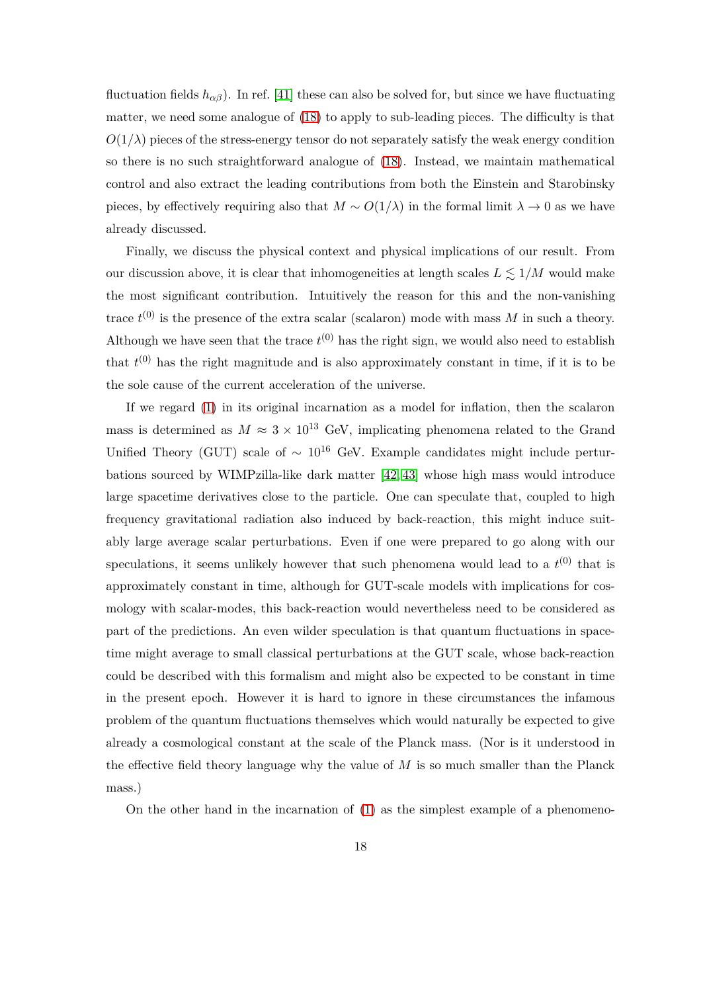fluctuation fields  $h_{\alpha\beta}$ ). In ref. [\[41\]](#page-22-4) these can also be solved for, but since we have fluctuating matter, we need some analogue of [\(18\)](#page-8-1) to apply to sub-leading pieces. The difficulty is that  $O(1/\lambda)$  pieces of the stress-energy tensor do not separately satisfy the weak energy condition so there is no such straightforward analogue of [\(18\)](#page-8-1). Instead, we maintain mathematical control and also extract the leading contributions from both the Einstein and Starobinsky pieces, by effectively requiring also that  $M \sim O(1/\lambda)$  in the formal limit  $\lambda \to 0$  as we have already discussed.

Finally, we discuss the physical context and physical implications of our result. From our discussion above, it is clear that inhomogeneities at length scales  $L \leq 1/M$  would make the most significant contribution. Intuitively the reason for this and the non-vanishing trace  $t^{(0)}$  is the presence of the extra scalar (scalaron) mode with mass  $M$  in such a theory. Although we have seen that the trace  $t^{(0)}$  has the right sign, we would also need to establish that  $t^{(0)}$  has the right magnitude and is also approximately constant in time, if it is to be the sole cause of the current acceleration of the universe.

If we regard [\(1\)](#page-2-0) in its original incarnation as a model for inflation, then the scalaron mass is determined as  $M \approx 3 \times 10^{13}$  GeV, implicating phenomena related to the Grand Unified Theory (GUT) scale of  $\sim 10^{16}$  GeV. Example candidates might include perturbations sourced by WIMPzilla-like dark matter [\[42,](#page-22-6) [43\]](#page-22-7) whose high mass would introduce large spacetime derivatives close to the particle. One can speculate that, coupled to high frequency gravitational radiation also induced by back-reaction, this might induce suitably large average scalar perturbations. Even if one were prepared to go along with our speculations, it seems unlikely however that such phenomena would lead to a  $t^{(0)}$  that is approximately constant in time, although for GUT-scale models with implications for cosmology with scalar-modes, this back-reaction would nevertheless need to be considered as part of the predictions. An even wilder speculation is that quantum fluctuations in spacetime might average to small classical perturbations at the GUT scale, whose back-reaction could be described with this formalism and might also be expected to be constant in time in the present epoch. However it is hard to ignore in these circumstances the infamous problem of the quantum fluctuations themselves which would naturally be expected to give already a cosmological constant at the scale of the Planck mass. (Nor is it understood in the effective field theory language why the value of *M* is so much smaller than the Planck mass.)

On the other hand in the incarnation of [\(1\)](#page-2-0) as the simplest example of a phenomeno-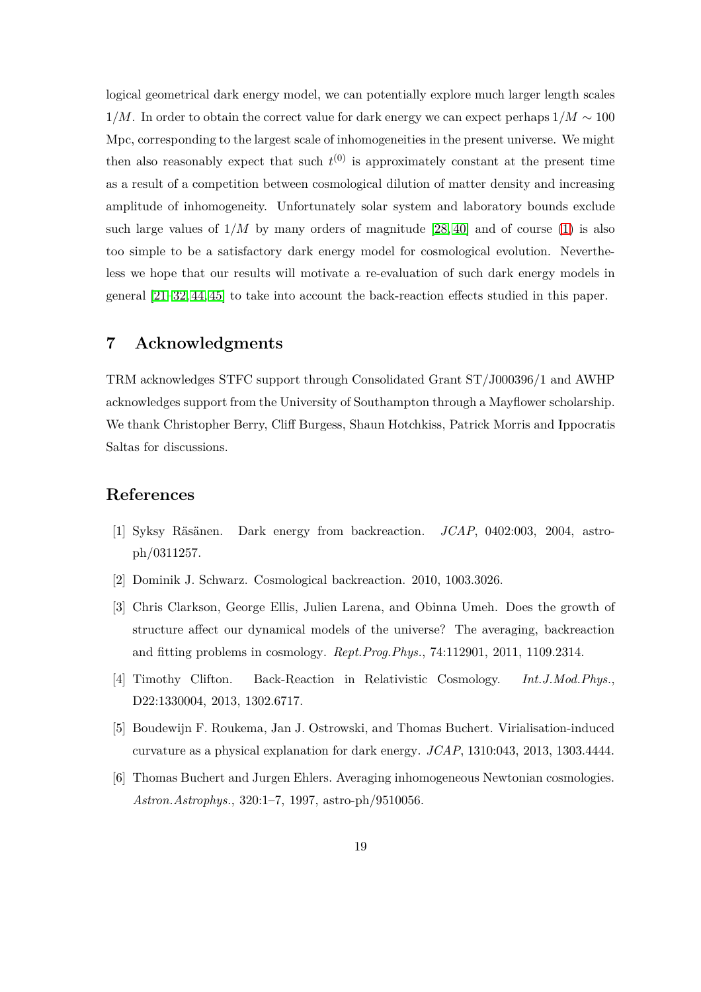logical geometrical dark energy model, we can potentially explore much larger length scales 1*/M*. In order to obtain the correct value for dark energy we can expect perhaps 1*/M* ∼ 100 Mpc, corresponding to the largest scale of inhomogeneities in the present universe. We might then also reasonably expect that such  $t^{(0)}$  is approximately constant at the present time as a result of a competition between cosmological dilution of matter density and increasing amplitude of inhomogeneity. Unfortunately solar system and laboratory bounds exclude such large values of  $1/M$  by many orders of magnitude  $[28, 40]$  $[28, 40]$  and of course [\(1\)](#page-2-0) is also too simple to be a satisfactory dark energy model for cosmological evolution. Nevertheless we hope that our results will motivate a re-evaluation of such dark energy models in general [\[21–](#page-21-0)[32,](#page-21-5) [44,](#page-22-8) [45\]](#page-22-9) to take into account the back-reaction effects studied in this paper.

### **7 Acknowledgments**

TRM acknowledges STFC support through Consolidated Grant ST/J000396/1 and AWHP acknowledges support from the University of Southampton through a Mayflower scholarship. We thank Christopher Berry, Cliff Burgess, Shaun Hotchkiss, Patrick Morris and Ippocratis Saltas for discussions.

#### <span id="page-19-0"></span>**References**

- [1] Syksy R¨as¨anen. Dark energy from backreaction. *JCAP*, 0402:003, 2004, astroph/0311257.
- [2] Dominik J. Schwarz. Cosmological backreaction. 2010, 1003.3026.
- [3] Chris Clarkson, George Ellis, Julien Larena, and Obinna Umeh. Does the growth of structure affect our dynamical models of the universe? The averaging, backreaction and fitting problems in cosmology. *Rept.Prog.Phys.*, 74:112901, 2011, 1109.2314.
- [4] Timothy Clifton. Back-Reaction in Relativistic Cosmology. *Int.J.Mod.Phys.*, D22:1330004, 2013, 1302.6717.
- <span id="page-19-1"></span>[5] Boudewijn F. Roukema, Jan J. Ostrowski, and Thomas Buchert. Virialisation-induced curvature as a physical explanation for dark energy. *JCAP*, 1310:043, 2013, 1303.4444.
- [6] Thomas Buchert and Jurgen Ehlers. Averaging inhomogeneous Newtonian cosmologies. *Astron.Astrophys.*, 320:1–7, 1997, astro-ph/9510056.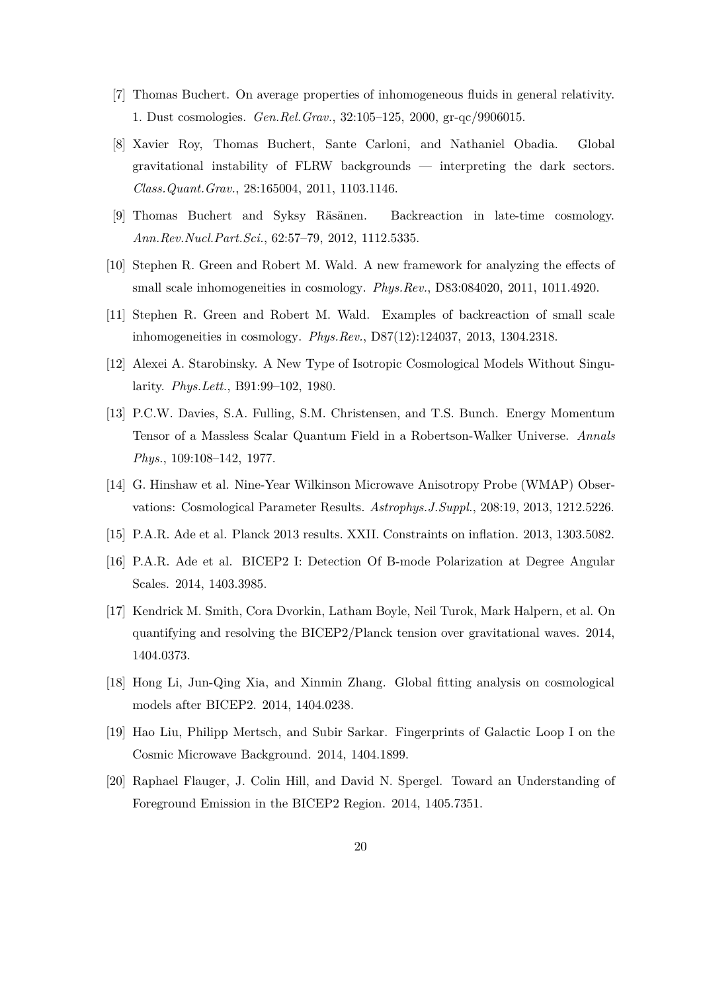- <span id="page-20-13"></span><span id="page-20-12"></span>[7] Thomas Buchert. On average properties of inhomogeneous fluids in general relativity. 1. Dust cosmologies. *Gen.Rel.Grav.*, 32:105–125, 2000, gr-qc/9906015.
- [8] Xavier Roy, Thomas Buchert, Sante Carloni, and Nathaniel Obadia. Global gravitational instability of FLRW backgrounds — interpreting the dark sectors. *Class.Quant.Grav.*, 28:165004, 2011, 1103.1146.
- <span id="page-20-1"></span><span id="page-20-0"></span>[9] Thomas Buchert and Syksy Räsänen. Backreaction in late-time cosmology. *Ann.Rev.Nucl.Part.Sci.*, 62:57–79, 2012, 1112.5335.
- <span id="page-20-2"></span>[10] Stephen R. Green and Robert M. Wald. A new framework for analyzing the effects of small scale inhomogeneities in cosmology. *Phys.Rev.*, D83:084020, 2011, 1011.4920.
- <span id="page-20-3"></span>[11] Stephen R. Green and Robert M. Wald. Examples of backreaction of small scale inhomogeneities in cosmology. *Phys.Rev.*, D87(12):124037, 2013, 1304.2318.
- <span id="page-20-4"></span>[12] Alexei A. Starobinsky. A New Type of Isotropic Cosmological Models Without Singularity. *Phys.Lett.*, B91:99–102, 1980.
- [13] P.C.W. Davies, S.A. Fulling, S.M. Christensen, and T.S. Bunch. Energy Momentum Tensor of a Massless Scalar Quantum Field in a Robertson-Walker Universe. *Annals Phys.*, 109:108–142, 1977.
- <span id="page-20-6"></span><span id="page-20-5"></span>[14] G. Hinshaw et al. Nine-Year Wilkinson Microwave Anisotropy Probe (WMAP) Observations: Cosmological Parameter Results. *Astrophys.J.Suppl.*, 208:19, 2013, 1212.5226.
- <span id="page-20-7"></span>[15] P.A.R. Ade et al. Planck 2013 results. XXII. Constraints on inflation. 2013, 1303.5082.
- <span id="page-20-8"></span>[16] P.A.R. Ade et al. BICEP2 I: Detection Of B-mode Polarization at Degree Angular Scales. 2014, 1403.3985.
- [17] Kendrick M. Smith, Cora Dvorkin, Latham Boyle, Neil Turok, Mark Halpern, et al. On quantifying and resolving the BICEP2/Planck tension over gravitational waves. 2014, 1404.0373.
- <span id="page-20-10"></span><span id="page-20-9"></span>[18] Hong Li, Jun-Qing Xia, and Xinmin Zhang. Global fitting analysis on cosmological models after BICEP2. 2014, 1404.0238.
- <span id="page-20-11"></span>[19] Hao Liu, Philipp Mertsch, and Subir Sarkar. Fingerprints of Galactic Loop I on the Cosmic Microwave Background. 2014, 1404.1899.
- [20] Raphael Flauger, J. Colin Hill, and David N. Spergel. Toward an Understanding of Foreground Emission in the BICEP2 Region. 2014, 1405.7351.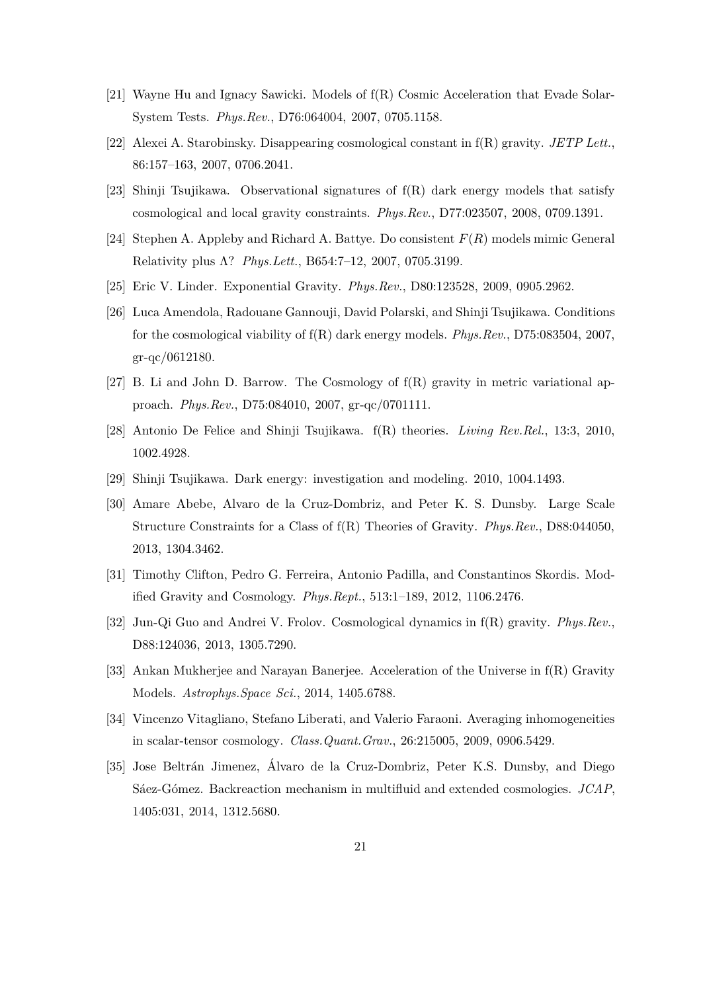- <span id="page-21-0"></span>[21] Wayne Hu and Ignacy Sawicki. Models of f(R) Cosmic Acceleration that Evade Solar-System Tests. *Phys.Rev.*, D76:064004, 2007, 0705.1158.
- [22] Alexei A. Starobinsky. Disappearing cosmological constant in f(R) gravity. *JETP Lett.*, 86:157–163, 2007, 0706.2041.
- [23] Shinji Tsujikawa. Observational signatures of f(R) dark energy models that satisfy cosmological and local gravity constraints. *Phys.Rev.*, D77:023507, 2008, 0709.1391.
- [24] Stephen A. Appleby and Richard A. Battye. Do consistent *F*(*R*) models mimic General Relativity plus Λ? *Phys.Lett.*, B654:7–12, 2007, 0705.3199.
- [25] Eric V. Linder. Exponential Gravity. *Phys.Rev.*, D80:123528, 2009, 0905.2962.
- [26] Luca Amendola, Radouane Gannouji, David Polarski, and Shinji Tsujikawa. Conditions for the cosmological viability of f(R) dark energy models. *Phys.Rev.*, D75:083504, 2007, gr-qc/0612180.
- <span id="page-21-4"></span>[27] B. Li and John D. Barrow. The Cosmology of f(R) gravity in metric variational approach. *Phys.Rev.*, D75:084010, 2007, gr-qc/0701111.
- [28] Antonio De Felice and Shinji Tsujikawa. f(R) theories. *Living Rev.Rel.*, 13:3, 2010, 1002.4928.
- [29] Shinji Tsujikawa. Dark energy: investigation and modeling. 2010, 1004.1493.
- [30] Amare Abebe, Alvaro de la Cruz-Dombriz, and Peter K. S. Dunsby. Large Scale Structure Constraints for a Class of f(R) Theories of Gravity. *Phys.Rev.*, D88:044050, 2013, 1304.3462.
- <span id="page-21-5"></span>[31] Timothy Clifton, Pedro G. Ferreira, Antonio Padilla, and Constantinos Skordis. Modified Gravity and Cosmology. *Phys.Rept.*, 513:1–189, 2012, 1106.2476.
- <span id="page-21-1"></span>[32] Jun-Qi Guo and Andrei V. Frolov. Cosmological dynamics in f(R) gravity. *Phys.Rev.*, D88:124036, 2013, 1305.7290.
- <span id="page-21-2"></span>[33] Ankan Mukherjee and Narayan Banerjee. Acceleration of the Universe in f(R) Gravity Models. *Astrophys.Space Sci.*, 2014, 1405.6788.
- <span id="page-21-3"></span>[34] Vincenzo Vitagliano, Stefano Liberati, and Valerio Faraoni. Averaging inhomogeneities in scalar-tensor cosmology. *Class.Quant.Grav.*, 26:215005, 2009, 0906.5429.
- [35] Jose Beltrán Jimenez, Álvaro de la Cruz-Dombriz, Peter K.S. Dunsby, and Diego Sáez-Gómez. Backreaction mechanism in multifluid and extended cosmologies. *JCAP*, 1405:031, 2014, 1312.5680.